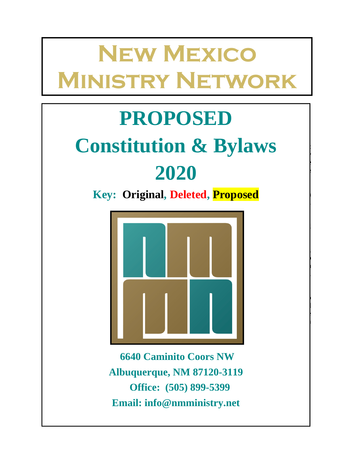## **CONSTITUTION of the NEW MEXICO DISTRICT COUNCI New Mexico Ministry Network**

# **(d.b.a. New Mexico Ministry Network of the Assemblies of God) As Revised - 2012 PROPOSED** We believe God's purpose concerning man finds function and finds function and function  $\alpha$  priority reason-for-**Constitution & Bylaws** where  $\mathcal{L}_{\mathcal{A}}$  a channel of God, to build a body of saints being perfect in the saints being perfect in the saints being perfect in the saints being perfect in the saints being perfect in the saints being perfect in **image of**  $\frac{2020}{20}$

**Key: Original, Deleted, <mark>Proposed</mark> Themselves in general unity for the proposed** of the name of the name of The General Council of the Name of The God, and God, and God, and God, and God, and

world.

and,

and Bylaws:



Email: info@nmministry.net **6640 Caminito Coors NW Albuquerque, NM 87120-3119 Office: (505) 899-5399**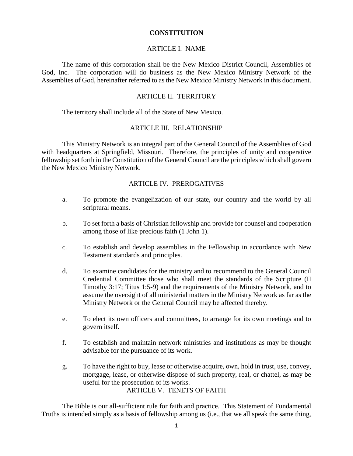#### **CONSTITUTION**

#### ARTICLE I. NAME

The name of this corporation shall be the New Mexico District Council, Assemblies of God, Inc. The corporation will do business as the New Mexico Ministry Network of the Assemblies of God, hereinafter referred to as the New Mexico Ministry Network in this document.

#### ARTICLE II. TERRITORY

The territory shall include all of the State of New Mexico.

#### ARTICLE III. RELATIONSHIP

This Ministry Network is an integral part of the General Council of the Assemblies of God with headquarters at Springfield, Missouri. Therefore, the principles of unity and cooperative fellowship set forth in the Constitution of the General Council are the principles which shall govern the New Mexico Ministry Network.

#### ARTICLE IV. PREROGATIVES

- a. To promote the evangelization of our state, our country and the world by all scriptural means.
- b. To set forth a basis of Christian fellowship and provide for counsel and cooperation among those of like precious faith (1 John 1).
- c. To establish and develop assemblies in the Fellowship in accordance with New Testament standards and principles.
- d. To examine candidates for the ministry and to recommend to the General Council Credential Committee those who shall meet the standards of the Scripture (II Timothy 3:17; Titus 1:5-9) and the requirements of the Ministry Network, and to assume the oversight of all ministerial matters in the Ministry Network as far as the Ministry Network or the General Council may be affected thereby.
- e. To elect its own officers and committees, to arrange for its own meetings and to govern itself.
- f. To establish and maintain network ministries and institutions as may be thought advisable for the pursuance of its work.
- g. To have the right to buy, lease or otherwise acquire, own, hold in trust, use, convey, mortgage, lease, or otherwise dispose of such property, real, or chattel, as may be useful for the prosecution of its works. ARTICLE V. TENETS OF FAITH

The Bible is our all-sufficient rule for faith and practice. This Statement of Fundamental Truths is intended simply as a basis of fellowship among us (i.e., that we all speak the same thing,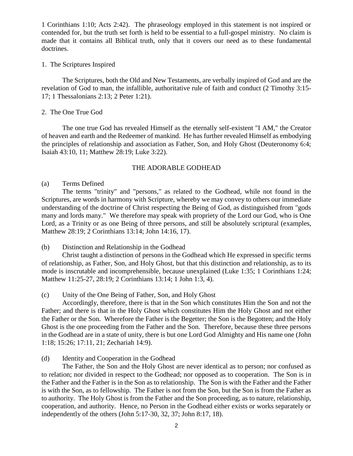1 Corinthians 1:10; Acts 2:42). The phraseology employed in this statement is not inspired or contended for, but the truth set forth is held to be essential to a full-gospel ministry. No claim is made that it contains all Biblical truth, only that it covers our need as to these fundamental doctrines.

#### 1. The Scriptures Inspired

The Scriptures, both the Old and New Testaments, are verbally inspired of God and are the revelation of God to man, the infallible, authoritative rule of faith and conduct (2 Timothy 3:15- 17; 1 Thessalonians 2:13; 2 Peter 1:21).

#### 2. The One True God

The one true God has revealed Himself as the eternally self-existent "I AM," the Creator of heaven and earth and the Redeemer of mankind. He has further revealed Himself as embodying the principles of relationship and association as Father, Son, and Holy Ghost (Deuteronomy 6:4; Isaiah 43:10, 11; Matthew 28:19; Luke 3:22).

#### THE ADORABLE GODHEAD

#### (a) Terms Defined

The terms "trinity" and "persons," as related to the Godhead, while not found in the Scriptures, are words in harmony with Scripture, whereby we may convey to others our immediate understanding of the doctrine of Christ respecting the Being of God, as distinguished from "gods many and lords many." We therefore may speak with propriety of the Lord our God, who is One Lord, as a Trinity or as one Being of three persons, and still be absolutely scriptural (examples, Matthew 28:19; 2 Corinthians 13:14; John 14:16, 17).

(b) Distinction and Relationship in the Godhead

Christ taught a distinction of persons in the Godhead which He expressed in specific terms of relationship, as Father, Son, and Holy Ghost, but that this distinction and relationship, as to its mode is inscrutable and incomprehensible, because unexplained (Luke 1:35; 1 Corinthians 1:24; Matthew 11:25-27, 28:19; 2 Corinthians 13:14; 1 John 1:3, 4).

#### (c) Unity of the One Being of Father, Son, and Holy Ghost

Accordingly, therefore, there is that in the Son which constitutes Him the Son and not the Father; and there is that in the Holy Ghost which constitutes Him the Holy Ghost and not either the Father or the Son. Wherefore the Father is the Begetter; the Son is the Begotten; and the Holy Ghost is the one proceeding from the Father and the Son. Therefore, because these three persons in the Godhead are in a state of unity, there is but one Lord God Almighty and His name one (John 1:18; 15:26; 17:11, 21; Zechariah 14:9).

#### (d) Identity and Cooperation in the Godhead

The Father, the Son and the Holy Ghost are never identical as to person; nor confused as to relation; nor divided in respect to the Godhead; nor opposed as to cooperation. The Son is in the Father and the Father is in the Son as to relationship. The Son is with the Father and the Father is with the Son, as to fellowship. The Father is not from the Son, but the Son is from the Father as to authority. The Holy Ghost is from the Father and the Son proceeding, as to nature, relationship, cooperation, and authority. Hence, no Person in the Godhead either exists or works separately or independently of the others (John 5:17-30, 32, 37; John 8:17, 18).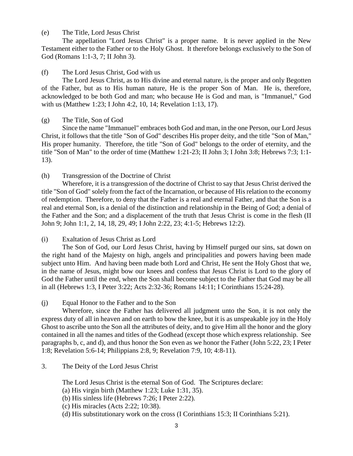(e) The Title, Lord Jesus Christ

The appellation "Lord Jesus Christ" is a proper name. It is never applied in the New Testament either to the Father or to the Holy Ghost. It therefore belongs exclusively to the Son of God (Romans 1:1-3, 7; II John 3).

## (f) The Lord Jesus Christ, God with us

The Lord Jesus Christ, as to His divine and eternal nature, is the proper and only Begotten of the Father, but as to His human nature, He is the proper Son of Man. He is, therefore, acknowledged to be both God and man; who because He is God and man, is "Immanuel," God with us (Matthew 1:23; I John 4:2, 10, 14; Revelation 1:13, 17).

## (g) The Title, Son of God

Since the name "Immanuel" embraces both God and man, in the one Person, our Lord Jesus Christ, it follows that the title "Son of God" describes His proper deity, and the title "Son of Man," His proper humanity. Therefore, the title "Son of God" belongs to the order of eternity, and the title "Son of Man" to the order of time (Matthew 1:21-23; II John 3; I John 3:8; Hebrews 7:3; 1:1- 13).

## (h) Transgression of the Doctrine of Christ

Wherefore, it is a transgression of the doctrine of Christ to say that Jesus Christ derived the title "Son of God" solely from the fact of the Incarnation, or because of His relation to the economy of redemption. Therefore, to deny that the Father is a real and eternal Father, and that the Son is a real and eternal Son, is a denial of the distinction and relationship in the Being of God; a denial of the Father and the Son; and a displacement of the truth that Jesus Christ is come in the flesh (II John 9; John 1:1, 2, 14, 18, 29, 49; I John 2:22, 23; 4:1-5; Hebrews 12:2).

#### (i) Exaltation of Jesus Christ as Lord

The Son of God, our Lord Jesus Christ, having by Himself purged our sins, sat down on the right hand of the Majesty on high, angels and principalities and powers having been made subject unto Him. And having been made both Lord and Christ, He sent the Holy Ghost that we, in the name of Jesus, might bow our knees and confess that Jesus Christ is Lord to the glory of God the Father until the end, when the Son shall become subject to the Father that God may be all in all (Hebrews 1:3, I Peter 3:22; Acts 2:32-36; Romans 14:11; I Corinthians 15:24-28).

#### (j) Equal Honor to the Father and to the Son

Wherefore, since the Father has delivered all judgment unto the Son, it is not only the express duty of all in heaven and on earth to bow the knee, but it is as unspeakable joy in the Holy Ghost to ascribe unto the Son all the attributes of deity, and to give Him all the honor and the glory contained in all the names and titles of the Godhead (except those which express relationship. See paragraphs b, c, and d), and thus honor the Son even as we honor the Father (John 5:22, 23; I Peter 1:8; Revelation 5:6-14; Philippians 2:8, 9; Revelation 7:9, 10; 4:8-11).

3. The Deity of the Lord Jesus Christ

The Lord Jesus Christ is the eternal Son of God. The Scriptures declare:

- (a) His virgin birth (Matthew 1:23; Luke 1:31, 35).
- (b) His sinless life (Hebrews 7:26; I Peter 2:22).
- (c) His miracles (Acts 2:22; 10:38).
- (d) His substitutionary work on the cross (I Corinthians 15:3; II Corinthians 5:21).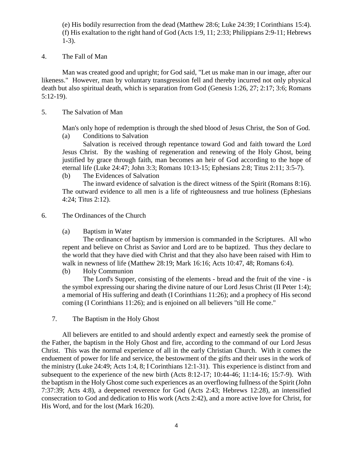(e) His bodily resurrection from the dead (Matthew 28:6; Luke 24:39; I Corinthians 15:4). (f) His exaltation to the right hand of God (Acts 1:9, 11; 2:33; Philippians 2:9-11; Hebrews 1-3).

#### 4. The Fall of Man

Man was created good and upright; for God said, "Let us make man in our image, after our likeness." However, man by voluntary transgression fell and thereby incurred not only physical death but also spiritual death, which is separation from God (Genesis 1:26, 27; 2:17; 3:6; Romans 5:12-19).

#### 5. The Salvation of Man

Man's only hope of redemption is through the shed blood of Jesus Christ, the Son of God.

(a) Conditions to Salvation

Salvation is received through repentance toward God and faith toward the Lord Jesus Christ. By the washing of regeneration and renewing of the Holy Ghost, being justified by grace through faith, man becomes an heir of God according to the hope of eternal life (Luke 24:47; John 3:3; Romans 10:13-15; Ephesians 2:8; Titus 2:11; 3:5-7).

(b) The Evidences of Salvation

The inward evidence of salvation is the direct witness of the Spirit (Romans 8:16). The outward evidence to all men is a life of righteousness and true holiness (Ephesians 4:24; Titus 2:12).

- 6. The Ordinances of the Church
	- (a) Baptism in Water

The ordinance of baptism by immersion is commanded in the Scriptures. All who repent and believe on Christ as Savior and Lord are to be baptized. Thus they declare to the world that they have died with Christ and that they also have been raised with Him to walk in newness of life (Matthew 28:19; Mark 16:16; Acts 10:47, 48; Romans 6:4).

(b) Holy Communion

The Lord's Supper, consisting of the elements - bread and the fruit of the vine - is the symbol expressing our sharing the divine nature of our Lord Jesus Christ (II Peter 1:4); a memorial of His suffering and death (I Corinthians 11:26); and a prophecy of His second coming (I Corinthians 11:26); and is enjoined on all believers "till He come."

7. The Baptism in the Holy Ghost

All believers are entitled to and should ardently expect and earnestly seek the promise of the Father, the baptism in the Holy Ghost and fire, according to the command of our Lord Jesus Christ. This was the normal experience of all in the early Christian Church. With it comes the enduement of power for life and service, the bestowment of the gifts and their uses in the work of the ministry (Luke 24:49; Acts 1:4, 8; I Corinthians 12:1-31). This experience is distinct from and subsequent to the experience of the new birth (Acts  $8:12-17$ ;  $10:44-46$ ;  $11:14-16$ ;  $15:7-9$ ). With the baptism in the Holy Ghost come such experiences as an overflowing fullness of the Spirit (John 7:37:39; Acts 4:8), a deepened reverence for God (Acts 2:43; Hebrews 12:28), an intensified consecration to God and dedication to His work (Acts 2:42), and a more active love for Christ, for His Word, and for the lost (Mark 16:20).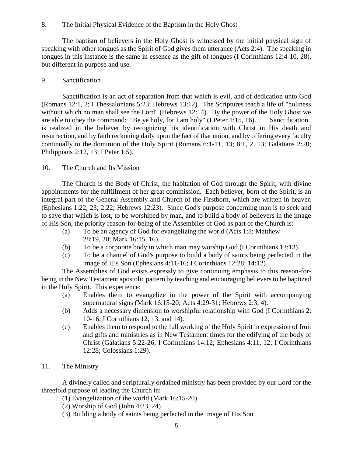## 8. The Initial Physical Evidence of the Baptism in the Holy Ghost

The baptism of believers in the Holy Ghost is witnessed by the initial physical sign of speaking with other tongues as the Spirit of God gives them utterance (Acts 2:4). The speaking in tongues in this instance is the same in essence as the gift of tongues (I Corinthians 12:4-10, 28), but different in purpose and use.

## 9. Sanctification

Sanctification is an act of separation from that which is evil, and of dedication unto God (Romans 12:1, 2; I Thessalonians 5:23; Hebrews 13:12). The Scriptures teach a life of "holiness without which no man shall see the Lord" (Hebrews 12:14). By the power of the Holy Ghost we are able to obey the command: "Be ye holy, for I am holy" (I Peter 1:15, 16). Sanctification is realized in the believer by recognizing his identification with Christ in His death and resurrection, and by faith reckoning daily upon the fact of that union, and by offering every faculty continually to the dominion of the Holy Spirit (Romans 6:1-11, 13; 8:1, 2, 13; Galatians 2:20; Philippians 2:12, 13; I Peter 1:5).

## 10. The Church and Its Mission

The Church is the Body of Christ, the habitation of God through the Spirit, with divine appointments for the fulfillment of her great commission. Each believer, born of the Spirit, is an integral part of the General Assembly and Church of the Firstborn, which are written in heaven (Ephesians 1:22, 23; 2:22; Hebrews 12:23). Since God's purpose concerning man is to seek and to save that which is lost, to be worshiped by man, and to build a body of believers in the image of His Son, the priority reason-for-being of the Assemblies of God as part of the Church is:

- (a) To be an agency of God for evangelizing the world (Acts 1:8; Matthew 28:19, 20; Mark 16:15, 16).
- (b) To be a corporate body in which man may worship God (I Corinthians 12:13).
- (c) To be a channel of God's purpose to build a body of saints being perfected in the image of His Son (Ephesians 4:11-16; I Corinthians 12:28; 14:12).

The Assemblies of God exists expressly to give continuing emphasis to this reason-forbeing in the New Testament apostolic pattern by teaching and encouraging believers to be baptized in the Holy Spirit. This experience:

- (a) Enables them to evangelize in the power of the Spirit with accompanying supernatural signs (Mark 16:15-20; Acts 4:29-31; Hebrews 2:3, 4).
- (b) Adds a necessary dimension to worshipful relationship with God (I Corinthians 2: 10-16; I Corinthians 12, 13, and 14).
- (c) Enables them to respond to the full working of the Holy Spirit in expression of fruit and gifts and ministries as in New Testament times for the edifying of the body of Christ (Galatians 5:22-26; I Corinthians 14:12; Ephesians 4:11, 12; I Corinthians 12:28; Colossians 1:29).

#### 11. The Ministry

A divinely called and scripturally ordained ministry has been provided by our Lord for the threefold purpose of leading the Church in:

(1) Evangelization of the world (Mark 16:15-20).

- (2) Worship of God (John 4:23, 24).
- (3) Building a body of saints being perfected in the image of His Son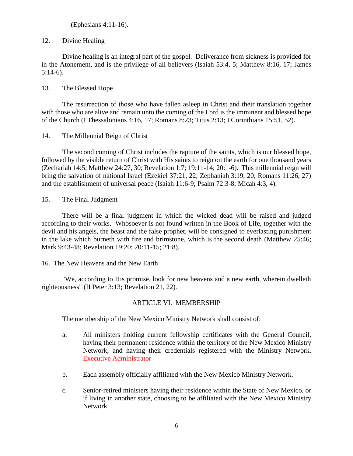(Ephesians 4:11-16).

## 12. Divine Healing

Divine healing is an integral part of the gospel. Deliverance from sickness is provided for in the Atonement, and is the privilege of all believers (Isaiah 53:4, 5; Matthew 8:16, 17; James 5:14-6).

## 13. The Blessed Hope

The resurrection of those who have fallen asleep in Christ and their translation together with those who are alive and remain unto the coming of the Lord is the imminent and blessed hope of the Church (I Thessalonians 4:16, 17; Romans 8:23; Titus 2:13; I Corinthians 15:51, 52).

## 14. The Millennial Reign of Christ

The second coming of Christ includes the rapture of the saints, which is our blessed hope, followed by the visible return of Christ with His saints to reign on the earth for one thousand years (Zechariah 14:5; Matthew 24:27, 30; Revelation 1:7; 19:11-14; 20:1-6). This millennial reign will bring the salvation of national Israel (Ezekiel 37:21, 22; Zephaniah 3:19, 20; Romans 11:26, 27) and the establishment of universal peace (Isaiah 11:6-9; Psalm 72:3-8; Micah 4:3, 4).

## 15. The Final Judgment

There will be a final judgment in which the wicked dead will be raised and judged according to their works. Whosoever is not found written in the Book of Life, together with the devil and his angels, the beast and the false prophet, will be consigned to everlasting punishment in the lake which burneth with fire and brimstone, which is the second death (Matthew 25:46; Mark 9:43-48; Revelation 19:20; 20:11-15; 21:8).

#### 16. The New Heavens and the New Earth

"We, according to His promise, look for new heavens and a new earth, wherein dwelleth righteousness" (II Peter 3:13; Revelation 21, 22).

## ARTICLE VI. MEMBERSHIP

The membership of the New Mexico Ministry Network shall consist of:

- a. All ministers holding current fellowship certificates with the General Council, having their permanent residence within the territory of the New Mexico Ministry Network, and having their credentials registered with the Ministry Network. Executive Administrator
- b. Each assembly officially affiliated with the New Mexico Ministry Network.
- c. Senior-retired ministers having their residence within the State of New Mexico, or if living in another state, choosing to be affiliated with the New Mexico Ministry Network.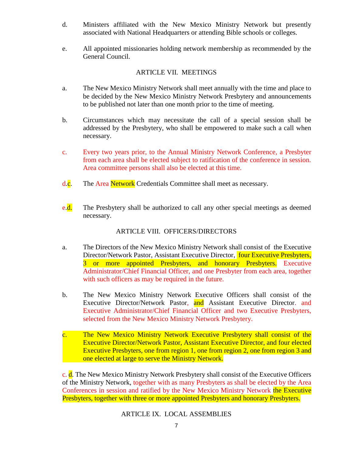- d. Ministers affiliated with the New Mexico Ministry Network but presently associated with National Headquarters or attending Bible schools or colleges.
- e. All appointed missionaries holding network membership as recommended by the General Council.

## ARTICLE VII. MEETINGS

- a. The New Mexico Ministry Network shall meet annually with the time and place to be decided by the New Mexico Ministry Network Presbytery and announcements to be published not later than one month prior to the time of meeting.
- b. Circumstances which may necessitate the call of a special session shall be addressed by the Presbytery, who shall be empowered to make such a call when necessary.
- c. Every two years prior, to the Annual Ministry Network Conference, a Presbyter from each area shall be elected subject to ratification of the conference in session. Area committee persons shall also be elected at this time.
- d.c. The Area Network Credentials Committee shall meet as necessary.
- e.d. The Presbytery shall be authorized to call any other special meetings as deemed necessary.

## ARTICLE VIII. OFFICERS/DIRECTORS

- a. The Directors of the New Mexico Ministry Network shall consist of the Executive Director/Network Pastor, Assistant Executive Director, four Executive Presbyters, 3 or more appointed Presbyters, and honorary Presbyters. Executive Administrator/Chief Financial Officer, and one Presbyter from each area, together with such officers as may be required in the future.
- b. The New Mexico Ministry Network Executive Officers shall consist of the Executive Director/Network Pastor, and Assistant Executive Director. and Executive Administrator/Chief Financial Officer and two Executive Presbyters, selected from the New Mexico Ministry Network Presbytery.
- c. The New Mexico Ministry Network Executive Presbytery shall consist of the Executive Director/Network Pastor, Assistant Executive Director, and four elected Executive Presbyters, one from region 1, one from region 2, one from region 3 and one elected at large to serve the Ministry Network.

c. d. The New Mexico Ministry Network Presbytery shall consist of the Executive Officers of the Ministry Network, together with as many Presbyters as shall be elected by the Area Conferences in session and ratified by the New Mexico Ministry Network the Executive Presbyters, together with three or more appointed Presbyters and honorary Presbyters.

## ARTICLE IX. LOCAL ASSEMBLIES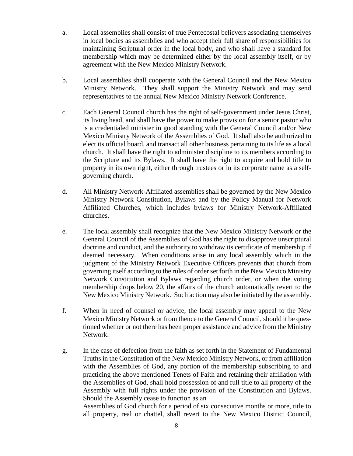- a. Local assemblies shall consist of true Pentecostal believers associating themselves in local bodies as assemblies and who accept their full share of responsibilities for maintaining Scriptural order in the local body, and who shall have a standard for membership which may be determined either by the local assembly itself, or by agreement with the New Mexico Ministry Network.
- b. Local assemblies shall cooperate with the General Council and the New Mexico Ministry Network. They shall support the Ministry Network and may send representatives to the annual New Mexico Ministry Network Conference.
- c. Each General Council church has the right of self-government under Jesus Christ, its living head, and shall have the power to make provision for a senior pastor who is a credentialed minister in good standing with the General Council and/or New Mexico Ministry Network of the Assemblies of God. It shall also be authorized to elect its official board, and transact all other business pertaining to its life as a local church. It shall have the right to administer discipline to its members according to the Scripture and its Bylaws. It shall have the right to acquire and hold title to property in its own right, either through trustees or in its corporate name as a selfgoverning church.
- d. All Ministry Network-Affiliated assemblies shall be governed by the New Mexico Ministry Network Constitution, Bylaws and by the Policy Manual for Network Affiliated Churches, which includes bylaws for Ministry Network-Affiliated churches.
- e. The local assembly shall recognize that the New Mexico Ministry Network or the General Council of the Assemblies of God has the right to disapprove unscriptural doctrine and conduct, and the authority to withdraw its certificate of membership if deemed necessary. When conditions arise in any local assembly which in the judgment of the Ministry Network Executive Officers prevents that church from governing itself according to the rules of order set forth in the New Mexico Ministry Network Constitution and Bylaws regarding church order, or when the voting membership drops below 20, the affairs of the church automatically revert to the New Mexico Ministry Network. Such action may also be initiated by the assembly.
- f. When in need of counsel or advice, the local assembly may appeal to the New Mexico Ministry Network or from thence to the General Council, should it be questioned whether or not there has been proper assistance and advice from the Ministry Network.
- g. In the case of defection from the faith as set forth in the Statement of Fundamental Truths in the Constitution of the New Mexico Ministry Network, or from affiliation with the Assemblies of God, any portion of the membership subscribing to and practicing the above mentioned Tenets of Faith and retaining their affiliation with the Assemblies of God, shall hold possession of and full title to all property of the Assembly with full rights under the provision of the Constitution and Bylaws. Should the Assembly cease to function as an Assemblies of God church for a period of six consecutive months or more, title to

all property, real or chattel, shall revert to the New Mexico District Council,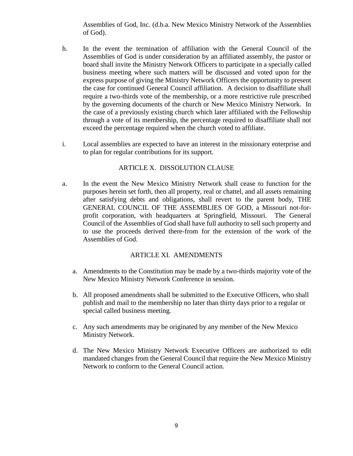Assemblies of God, Inc. (d.b.a. New Mexico Ministry Network of the Assemblies of God).

- h. In the event the termination of affiliation with the General Council of the Assemblies of God is under consideration by an affiliated assembly, the pastor or board shall invite the Ministry Network Officers to participate in a specially called business meeting where such matters will be discussed and voted upon for the express purpose of giving the Ministry Network Officers the opportunity to present the case for continued General Council affiliation. A decision to disaffiliate shall require a two-thirds vote of the membership, or a more restrictive rule prescribed by the governing documents of the church or New Mexico Ministry Network. In the case of a previously existing church which later affiliated with the Fellowship through a vote of its membership, the percentage required to disaffiliate shall not exceed the percentage required when the church voted to affiliate.
- i. Local assemblies are expected to have an interest in the missionary enterprise and to plan for regular contributions for its support.

## ARTICLE X. DISSOLUTION CLAUSE

a. In the event the New Mexico Ministry Network shall cease to function for the purposes herein set forth, then all property, real or chattel, and all assets remaining after satisfying debts and obligations, shall revert to the parent body, THE GENERAL COUNCIL OF THE ASSEMBLIES OF GOD, a Missouri not-forprofit corporation, with headquarters at Springfield, Missouri. The General Council of the Assemblies of God shall have full authority to sell such property and to use the proceeds derived there-from for the extension of the work of the Assemblies of God.

## ARTICLE XI. AMENDMENTS

- a. Amendments to the Constitution may be made by a two-thirds majority vote of the New Mexico Ministry Network Conference in session.
- b. All proposed amendments shall be submitted to the Executive Officers, who shall publish and mail to the membership no later than thirty days prior to a regular or special called business meeting.
- c. Any such amendments may be originated by any member of the New Mexico Ministry Network.
- d. The New Mexico Ministry Network Executive Officers are authorized to edit mandated changes from the General Council that require the New Mexico Ministry Network to conform to the General Council action.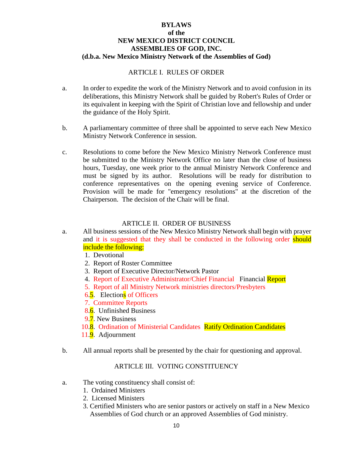## **BYLAWS of the NEW MEXICO DISTRICT COUNCIL ASSEMBLIES OF GOD, INC. (d.b.a. New Mexico Ministry Network of the Assemblies of God)**

## ARTICLE I. RULES OF ORDER

- a. In order to expedite the work of the Ministry Network and to avoid confusion in its deliberations, this Ministry Network shall be guided by Robert's Rules of Order or its equivalent in keeping with the Spirit of Christian love and fellowship and under the guidance of the Holy Spirit.
- b. A parliamentary committee of three shall be appointed to serve each New Mexico Ministry Network Conference in session.
- c. Resolutions to come before the New Mexico Ministry Network Conference must be submitted to the Ministry Network Office no later than the close of business hours, Tuesday, one week prior to the annual Ministry Network Conference and must be signed by its author. Resolutions will be ready for distribution to conference representatives on the opening evening service of Conference. Provision will be made for "emergency resolutions" at the discretion of the Chairperson. The decision of the Chair will be final.

## ARTICLE II. ORDER OF BUSINESS

- a. All business sessions of the New Mexico Ministry Network shall begin with prayer and it is suggested that they shall be conducted in the following order should include the following:
	- 1. Devotional
	- 2. Report of Roster Committee
	- 3. Report of Executive Director/Network Pastor
	- 4. Report of Executive Administrator/Chief Financial Financial Report
	- 5. Report of all Ministry Network ministries directors/Presbyters
	- 6.5. Elections of Officers
	- 7. Committee Reports
	- 8.6. Unfinished Business
	- 9.7. New Business
	- 10.8. Ordination of Ministerial Candidates Ratify Ordination Candidates
	- 11.9. Adjournment
- b. All annual reports shall be presented by the chair for questioning and approval.

## ARTICLE III. VOTING CONSTITUENCY

- a. The voting constituency shall consist of:
	- 1. Ordained Ministers
	- 2. Licensed Ministers
	- 3. Certified Ministers who are senior pastors or actively on staff in a New Mexico Assemblies of God church or an approved Assemblies of God ministry.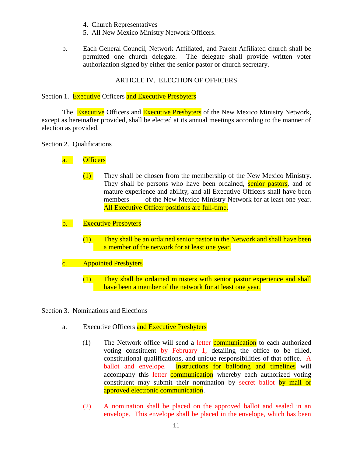- 4. Church Representatives
- 5. All New Mexico Ministry Network Officers.
- b. Each General Council, Network Affiliated, and Parent Affiliated church shall be permitted one church delegate. The delegate shall provide written voter authorization signed by either the senior pastor or church secretary.

## ARTICLE IV. ELECTION OF OFFICERS

## Section 1. Executive Officers and Executive Presbyters

The Executive Officers and Executive Presbyters of the New Mexico Ministry Network, except as hereinafter provided, shall be elected at its annual meetings according to the manner of election as provided.

Section 2. Qualifications



(1) They shall be chosen from the membership of the New Mexico Ministry. They shall be persons who have been ordained, senior pastors, and of mature experience and ability, and all Executive Officers shall have been members of the New Mexico Ministry Network for at least one year. All Executive Officer positions are full-time.

## **b.** Executive Presbyters

- (1) They shall be an ordained senior pastor in the Network and shall have been a member of the network for at least one year.
- c. Appointed Presbyters
	- (1) They shall be ordained ministers with senior pastor experience and shall have been a member of the network for at least one year.

Section 3. Nominations and Elections

- a. Executive Officers and Executive Presbyters
	- (1) The Network office will send a letter communication to each authorized voting constituent by February 1, detailing the office to be filled, constitutional qualifications, and unique responsibilities of that office. A ballot and envelope. Instructions for balloting and timelines will accompany this letter **communication** whereby each authorized voting constituent may submit their nomination by secret ballot by mail or approved electronic communication.
	- (2) A nomination shall be placed on the approved ballot and sealed in an envelope. This envelope shall be placed in the envelope, which has been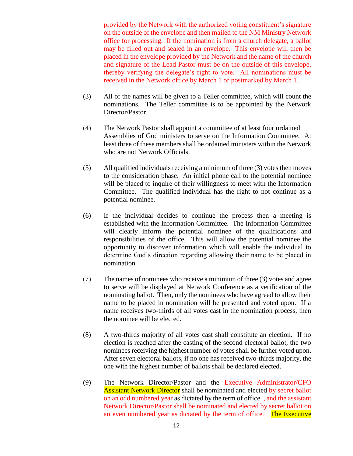provided by the Network with the authorized voting constituent's signature on the outside of the envelope and then mailed to the NM Ministry Network office for processing. If the nomination is from a church delegate, a ballot may be filled out and sealed in an envelope. This envelope will then be placed in the envelope provided by the Network and the name of the church and signature of the Lead Pastor must be on the outside of this envelope, thereby verifying the delegate's right to vote. All nominations must be received in the Network office by March 1 or postmarked by March 1.

- (3) All of the names will be given to a Teller committee, which will count the nominations. The Teller committee is to be appointed by the Network Director/Pastor.
- (4) The Network Pastor shall appoint a committee of at least four ordained Assemblies of God ministers to serve on the Information Committee. At least three of these members shall be ordained ministers within the Network who are not Network Officials.
- (5) All qualified individuals receiving a minimum of three (3) votes then moves to the consideration phase. An initial phone call to the potential nominee will be placed to inquire of their willingness to meet with the Information Committee. The qualified individual has the right to not continue as a potential nominee.
- (6) If the individual decides to continue the process then a meeting is established with the Information Committee. The Information Committee will clearly inform the potential nominee of the qualifications and responsibilities of the office. This will allow the potential nominee the opportunity to discover information which will enable the individual to determine God's direction regarding allowing their name to be placed in nomination.
- (7) The names of nominees who receive a minimum of three (3) votes and agree to serve will be displayed at Network Conference as a verification of the nominating ballot. Then, only the nominees who have agreed to allow their name to be placed in nomination will be presented and voted upon. If a name receives two-thirds of all votes cast in the nomination process, then the nominee will be elected.
- (8) A two-thirds majority of all votes cast shall constitute an election. If no election is reached after the casting of the second electoral ballot, the two nominees receiving the highest number of votes shall be further voted upon. After seven electoral ballots, if no one has received two-thirds majority, the one with the highest number of ballots shall be declared elected.
- (9) The Network Director/Pastor and the Executive Administrator/CFO Assistant Network Director shall be nominated and elected by secret ballot on an odd numbered year as dictated by the term of office. , and the assistant Network Director/Pastor shall be nominated and elected by secret ballot on an even numbered year as dictated by the term of office. The Executive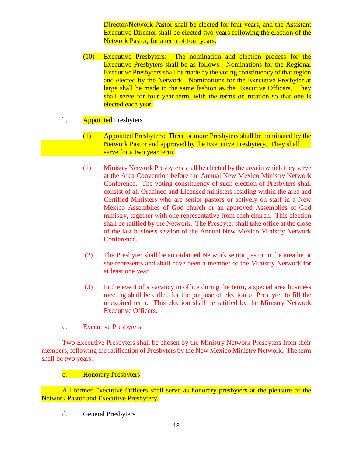Director/Network Pastor shall be elected for four years, and the Assistant Executive Director shall be elected two years following the election of the Network Pastor, for a term of four years.

(10) Executive Presbyters: The nomination and election process for the Executive Presbyters shall be as follows: Nominations for the Regional Executive Presbyters shall be made by the voting constituency of that region and elected by the Network. Nominations for the Executive Presbyter at large shall be made in the same fashion as the Executive Officers. They shall serve for four year term, with the terms on rotation so that one is elected each year.

## b. Appointed Presbyters

- (1) Appointed Presbyters: Three or more Presbyters shall be nominated by the Network Pastor and approved by the Executive Presbytery. They shall serve for a two year term.
- (1) Ministry Network Presbyters shall be elected by the area in which they serve at the Area Convention before the Annual New Mexico Ministry Network Conference. The voting constituency of such election of Presbyters shall consist of all Ordained and Licensed ministers residing within the area and Certified Ministers who are senior pastors or actively on staff in a New Mexico Assemblies of God church or an approved Assemblies of God ministry, together with one representative from each church. This election shall be ratified by the Network. The Presbyter shall take office at the close of the last business session of the Annual New Mexico Ministry Network Conference.
- (2) The Presbyter shall be an ordained Network senior pastor in the area he or she represents and shall have been a member of the Ministry Network for at least one year.
- (3) In the event of a vacancy in office during the term, a special area business meeting shall be called for the purpose of election of Presbyter to fill the unexpired term. This election shall be ratified by the Ministry Network Executive Officers.
- c. Executive Presbyters

Two Executive Presbyters shall be chosen by the Ministry Network Presbyters from their members, following the ratification of Presbyters by the New Mexico Ministry Network. The term shall be two years.

## c. Honorary Presbyters

All former Executive Officers shall serve as honorary presbyters at the pleasure of the Network Pastor and Executive Presbytery.

d. General Presbyters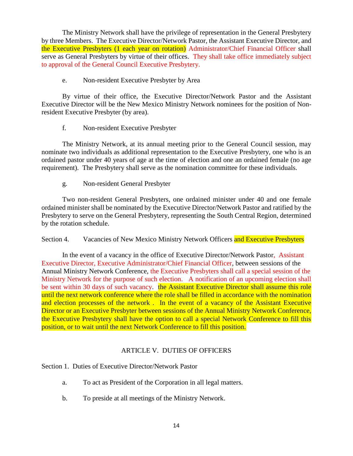The Ministry Network shall have the privilege of representation in the General Presbytery by three Members. The Executive Director/Network Pastor, the Assistant Executive Director, and the Executive Presbyters (1 each year on rotation) Administrator/Chief Financial Officer shall serve as General Presbyters by virtue of their offices. They shall take office immediately subject to approval of the General Council Executive Presbytery.

## e. Non-resident Executive Presbyter by Area

By virtue of their office, the Executive Director/Network Pastor and the Assistant Executive Director will be the New Mexico Ministry Network nominees for the position of Nonresident Executive Presbyter (by area).

f. Non-resident Executive Presbyter

The Ministry Network, at its annual meeting prior to the General Council session, may nominate two individuals as additional representation to the Executive Presbytery, one who is an ordained pastor under 40 years of age at the time of election and one an ordained female (no age requirement). The Presbytery shall serve as the nomination committee for these individuals.

g. Non-resident General Presbyter

Two non-resident General Presbyters, one ordained minister under 40 and one female ordained minister shall be nominated by the Executive Director/Network Pastor and ratified by the Presbytery to serve on the General Presbytery, representing the South Central Region, determined by the rotation schedule.

Section 4. Vacancies of New Mexico Ministry Network Officers and Executive Presbyters

In the event of a vacancy in the office of Executive Director/Network Pastor, Assistant Executive Director, Executive Administrator/Chief Financial Officer, between sessions of the Annual Ministry Network Conference, the Executive Presbyters shall call a special session of the Ministry Network for the purpose of such election. A notification of an upcoming election shall be sent within 30 days of such vacancy. the Assistant Executive Director shall assume this role until the next network conference where the role shall be filled in accordance with the nomination and election processes of the network. In the event of a vacancy of the Assistant Executive Director or an Executive Presbyter between sessions of the Annual Ministry Network Conference, the Executive Presbytery shall have the option to call a special Network Conference to fill this position, or to wait until the next Network Conference to fill this position.

## ARTICLE V. DUTIES OF OFFICERS

Section 1. Duties of Executive Director/Network Pastor

- a. To act as President of the Corporation in all legal matters.
- b. To preside at all meetings of the Ministry Network.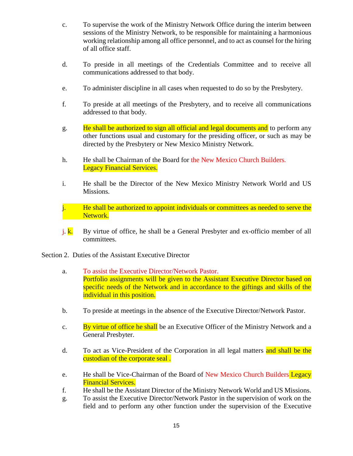- c. To supervise the work of the Ministry Network Office during the interim between sessions of the Ministry Network, to be responsible for maintaining a harmonious working relationship among all office personnel, and to act as counsel for the hiring of all office staff.
- d. To preside in all meetings of the Credentials Committee and to receive all communications addressed to that body.
- e. To administer discipline in all cases when requested to do so by the Presbytery.
- f. To preside at all meetings of the Presbytery, and to receive all communications addressed to that body.
- g. **He shall be authorized to sign all official and legal documents and to perform any** other functions usual and customary for the presiding officer, or such as may be directed by the Presbytery or New Mexico Ministry Network.
- h. He shall be Chairman of the Board for the New Mexico Church Builders. Legacy Financial Services.
- i. He shall be the Director of the New Mexico Ministry Network World and US Missions.
- j. He shall be authorized to appoint individuals or committees as needed to serve the Network.
- j.  $k$ . By virtue of office, he shall be a General Presbyter and ex-officio member of all committees.
- Section 2. Duties of the Assistant Executive Director
	- a. To assist the Executive Director/Network Pastor. Portfolio assignments will be given to the Assistant Executive Director based on specific needs of the Network and in accordance to the giftings and skills of the individual in this position.
	- b. To preside at meetings in the absence of the Executive Director/Network Pastor.
	- c. By virtue of office he shall be an Executive Officer of the Ministry Network and a General Presbyter.
	- d. To act as Vice-President of the Corporation in all legal matters and shall be the custodian of the corporate seal .
	- e. He shall be Vice-Chairman of the Board of New Mexico Church Builders Legacy Financial Services.
	- f. He shall be the Assistant Director of the Ministry Network World and US Missions.
	- g. To assist the Executive Director/Network Pastor in the supervision of work on the field and to perform any other function under the supervision of the Executive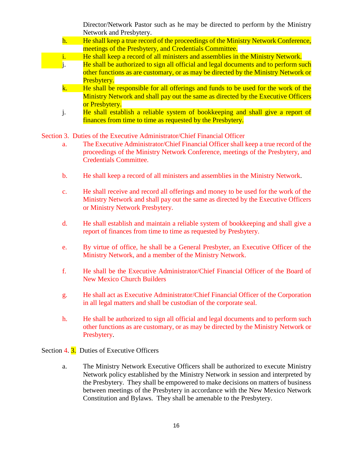Director/Network Pastor such as he may be directed to perform by the Ministry Network and Presbytery.

- h. He shall keep a true record of the proceedings of the Ministry Network Conference, meetings of the Presbytery, and Credentials Committee.
- i. He shall keep a record of all ministers and assemblies in the Ministry Network.<br>
Films and to perform support in the shall be authorized to sign all official and legal documents and to perform support.
- He shall be authorized to sign all official and legal documents and to perform such other functions as are customary, or as may be directed by the Ministry Network or Presbytery.
- k. He shall be responsible for all offerings and funds to be used for the work of the Ministry Network and shall pay out the same as directed by the Executive Officers or Presbytery.
- j. He shall establish a reliable system of bookkeeping and shall give a report of finances from time to time as requested by the Presbytery.

Section 3. Duties of the Executive Administrator/Chief Financial Officer

- a. The Executive Administrator/Chief Financial Officer shall keep a true record of the proceedings of the Ministry Network Conference, meetings of the Presbytery, and Credentials Committee.
- b. He shall keep a record of all ministers and assemblies in the Ministry Network.
- c. He shall receive and record all offerings and money to be used for the work of the Ministry Network and shall pay out the same as directed by the Executive Officers or Ministry Network Presbytery.
- d. He shall establish and maintain a reliable system of bookkeeping and shall give a report of finances from time to time as requested by Presbytery.
- e. By virtue of office, he shall be a General Presbyter, an Executive Officer of the Ministry Network, and a member of the Ministry Network.
- f. He shall be the Executive Administrator/Chief Financial Officer of the Board of New Mexico Church Builders
- g. He shall act as Executive Administrator/Chief Financial Officer of the Corporation in all legal matters and shall be custodian of the corporate seal.
- h. He shall be authorized to sign all official and legal documents and to perform such other functions as are customary, or as may be directed by the Ministry Network or Presbytery.
- Section 4. 3. Duties of Executive Officers
	- a. The Ministry Network Executive Officers shall be authorized to execute Ministry Network policy established by the Ministry Network in session and interpreted by the Presbytery. They shall be empowered to make decisions on matters of business between meetings of the Presbytery in accordance with the New Mexico Network Constitution and Bylaws. They shall be amenable to the Presbytery.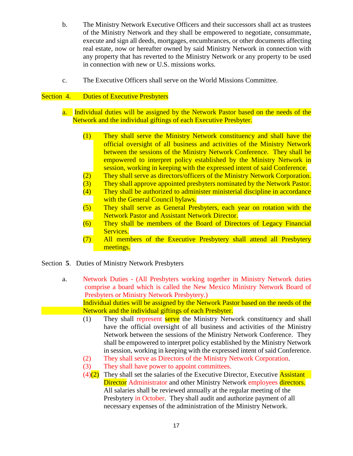- b. The Ministry Network Executive Officers and their successors shall act as trustees of the Ministry Network and they shall be empowered to negotiate, consummate, execute and sign all deeds, mortgages, encumbrances, or other documents affecting real estate, now or hereafter owned by said Ministry Network in connection with any property that has reverted to the Ministry Network or any property to be used in connection with new or U.S. missions works.
- c. The Executive Officers shall serve on the World Missions Committee.

## Section 4. Duties of Executive Presbyters

- a. Individual duties will be assigned by the Network Pastor based on the needs of the Network and the individual giftings of each Executive Presbyter.
	- (1) They shall serve the Ministry Network constituency and shall have the official oversight of all business and activities of the Ministry Network between the sessions of the Ministry Network Conference. They shall be empowered to interpret policy established by the Ministry Network in session, working in keeping with the expressed intent of said Conference.
	- (2) They shall serve as directors/officers of the Ministry Network Corporation.
	- (3) They shall approve appointed presbyters nominated by the Network Pastor.
	- (4) They shall be authorized to administer ministerial discipline in accordance with the General Council bylaws.
	- (5) They shall serve as General Presbyters, each year on rotation with the Network Pastor and Assistant Network Director.
	- (6) They shall be members of the Board of Directors of Legacy Financial Services.
	- (7) All members of the Executive Presbytery shall attend all Presbytery meetings.
- Section **5**. Duties of Ministry Network Presbyters
	- a. Network Duties (All Presbyters working together in Ministry Network duties comprise a board which is called the New Mexico Ministry Network Board of Presbyters or Ministry Network Presbytery.)

Individual duties will be assigned by the Network Pastor based on the needs of the Network and the individual giftings of each Presbyter.

- (1) They shall represent serve the Ministry Network constituency and shall have the official oversight of all business and activities of the Ministry Network between the sessions of the Ministry Network Conference. They shall be empowered to interpret policy established by the Ministry Network in session, working in keeping with the expressed intent of said Conference.
- (2) They shall serve as Directors of the Ministry Network Corporation.
- (3) They shall have power to appoint committees.
- $(4)(2)$  They shall set the salaries of the Executive Director, Executive Assistant Director Administrator and other Ministry Network employees directors. All salaries shall be reviewed annually at the regular meeting of the Presbytery in October. They shall audit and authorize payment of all necessary expenses of the administration of the Ministry Network.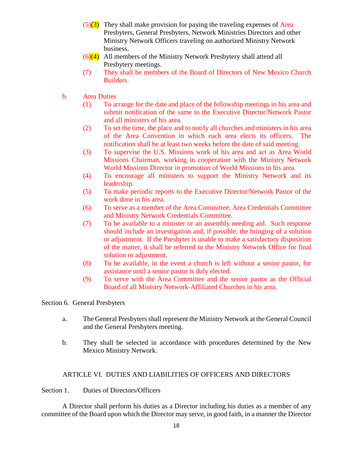- $(5)(3)$  They shall make provision for paying the traveling expenses of Area Presbyters, General Presbyters, Network Ministries Directors and other Ministry Network Officers traveling on authorized Ministry Network business.
- $(6)(4)$  All members of the Ministry Network Presbytery shall attend all Presbytery meetings.
- (7) They shall be members of the Board of Directors of New Mexico Church **Builders**
- b. Area Duties
	- (1) To arrange for the date and place of the fellowship meetings in his area and submit notification of the same to the Executive Director/Network Pastor and all ministers of his area.
	- (2) To set the time, the place and to notify all churches and ministers in his area of the Area Convention in which each area elects its officers. The notification shall be at least two weeks before the date of said meeting.
	- (3) To supervise the U.S. Missions work of his area and act as Area World Missions Chairman, working in cooperation with the Ministry Network World Missions Director in promotion of World Missions in his area.
	- (4) To encourage all ministers to support the Ministry Network and its leadership.
	- (5) To make periodic reports to the Executive Director/Network Pastor of the work done in his area.
	- (6) To serve as a member of the Area Committee, Area Credentials Committee and Ministry Network Credentials Committee.
	- (7) To be available to a minister or an assembly needing aid. Such response should include an investigation and, if possible, the bringing of a solution or adjustment. If the Presbyter is unable to make a satisfactory disposition of the matter, it shall be referred to the Ministry Network Office for final solution or adjustment.
	- (8) To be available, in the event a church is left without a senior pastor, for assistance until a senior pastor is duly elected.
	- (9) To serve with the Area Committee and the senior pastor as the Official Board of all Ministry Network-Affiliated Churches in his area.

Section 6. General Presbyters

- a. The General Presbyters shall represent the Ministry Network at the General Council and the General Presbyters meeting.
- b. They shall be selected in accordance with procedures determined by the New Mexico Ministry Network.

#### ARTICLE VI. DUTIES AND LIABILITIES OF OFFICERS AND DIRECTORS

Section 1. Duties of Directors/Officers

A Director shall perform his duties as a Director including his duties as a member of any committee of the Board upon which the Director may serve, in good faith, in a manner the Director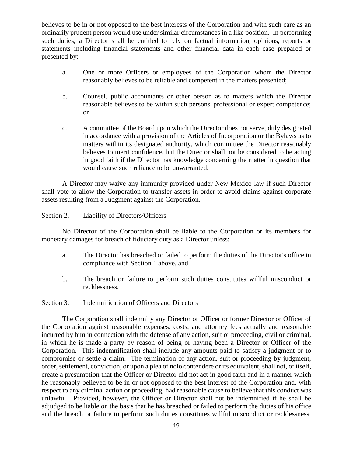believes to be in or not opposed to the best interests of the Corporation and with such care as an ordinarily prudent person would use under similar circumstances in a like position. In performing such duties, a Director shall be entitled to rely on factual information, opinions, reports or statements including financial statements and other financial data in each case prepared or presented by:

- a. One or more Officers or employees of the Corporation whom the Director reasonably believes to be reliable and competent in the matters presented;
- b. Counsel, public accountants or other person as to matters which the Director reasonable believes to be within such persons' professional or expert competence; or
- c. A committee of the Board upon which the Director does not serve, duly designated in accordance with a provision of the Articles of Incorporation or the Bylaws as to matters within its designated authority, which committee the Director reasonably believes to merit confidence, but the Director shall not be considered to be acting in good faith if the Director has knowledge concerning the matter in question that would cause such reliance to be unwarranted.

A Director may waive any immunity provided under New Mexico law if such Director shall vote to allow the Corporation to transfer assets in order to avoid claims against corporate assets resulting from a Judgment against the Corporation.

#### Section 2. Liability of Directors/Officers

No Director of the Corporation shall be liable to the Corporation or its members for monetary damages for breach of fiduciary duty as a Director unless:

- a. The Director has breached or failed to perform the duties of the Director's office in compliance with Section 1 above, and
- b. The breach or failure to perform such duties constitutes willful misconduct or recklessness.

#### Section 3. Indemnification of Officers and Directors

The Corporation shall indemnify any Director or Officer or former Director or Officer of the Corporation against reasonable expenses, costs, and attorney fees actually and reasonable incurred by him in connection with the defense of any action, suit or proceeding, civil or criminal, in which he is made a party by reason of being or having been a Director or Officer of the Corporation. This indemnification shall include any amounts paid to satisfy a judgment or to compromise or settle a claim. The termination of any action, suit or proceeding by judgment, order, settlement, conviction, or upon a plea of nolo contendere or its equivalent, shall not, of itself, create a presumption that the Officer or Director did not act in good faith and in a manner which he reasonably believed to be in or not opposed to the best interest of the Corporation and, with respect to any criminal action or proceeding, had reasonable cause to believe that this conduct was unlawful. Provided, however, the Officer or Director shall not be indemnified if he shall be adjudged to be liable on the basis that he has breached or failed to perform the duties of his office and the breach or failure to perform such duties constitutes willful misconduct or recklessness.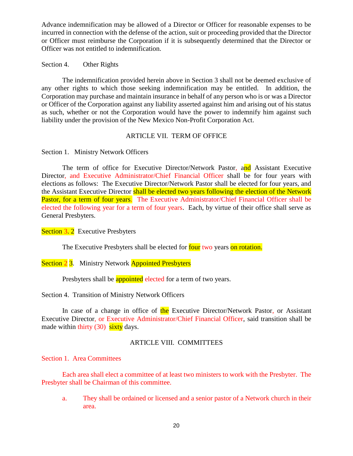Advance indemnification may be allowed of a Director or Officer for reasonable expenses to be incurred in connection with the defense of the action, suit or proceeding provided that the Director or Officer must reimburse the Corporation if it is subsequently determined that the Director or Officer was not entitled to indemnification.

#### Section 4. Other Rights

The indemnification provided herein above in Section 3 shall not be deemed exclusive of any other rights to which those seeking indemnification may be entitled. In addition, the Corporation may purchase and maintain insurance in behalf of any person who is or was a Director or Officer of the Corporation against any liability asserted against him and arising out of his status as such, whether or not the Corporation would have the power to indemnify him against such liability under the provision of the New Mexico Non-Profit Corporation Act.

#### ARTICLE VII. TERM OF OFFICE

Section 1. Ministry Network Officers

The term of office for Executive Director/Network Pastor, and Assistant Executive Director, and Executive Administrator/Chief Financial Officer shall be for four years with elections as follows: The Executive Director/Network Pastor shall be elected for four years, and the Assistant Executive Director shall be elected two years following the election of the Network Pastor, for a term of four years. The Executive Administrator/Chief Financial Officer shall be elected the following year for a term of four years. Each, by virtue of their office shall serve as General Presbyters.

Section 3. 2 Executive Presbyters

The Executive Presbyters shall be elected for **four** two years on rotation.

## Section 2 3. Ministry Network Appointed Presbyters

Presbyters shall be **appointed** elected for a term of two years.

#### Section 4. Transition of Ministry Network Officers

In case of a change in office of the Executive Director/Network Pastor, or Assistant Executive Director, or Executive Administrator/Chief Financial Officer, said transition shall be made within thirty  $(30)$  sixty days.

#### ARTICLE VIII. COMMITTEES

Section 1. Area Committees

Each area shall elect a committee of at least two ministers to work with the Presbyter. The Presbyter shall be Chairman of this committee.

a. They shall be ordained or licensed and a senior pastor of a Network church in their area.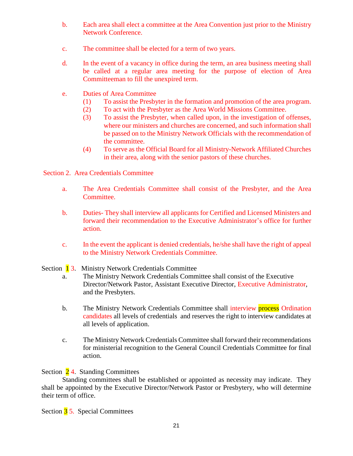- b. Each area shall elect a committee at the Area Convention just prior to the Ministry Network Conference.
- c. The committee shall be elected for a term of two years.
- d. In the event of a vacancy in office during the term, an area business meeting shall be called at a regular area meeting for the purpose of election of Area Committeeman to fill the unexpired term.
- e. Duties of Area Committee
	- (1) To assist the Presbyter in the formation and promotion of the area program.
	- (2) To act with the Presbyter as the Area World Missions Committee.
	- (3) To assist the Presbyter, when called upon, in the investigation of offenses, where our ministers and churches are concerned, and such information shall be passed on to the Ministry Network Officials with the recommendation of the committee.
	- (4) To serve as the Official Board for all Ministry-Network Affiliated Churches in their area, along with the senior pastors of these churches.

Section 2. Area Credentials Committee

- a. The Area Credentials Committee shall consist of the Presbyter, and the Area Committee.
- b. Duties- They shall interview all applicants for Certified and Licensed Ministers and forward their recommendation to the Executive Administrator's office for further action.
- c. In the event the applicant is denied credentials, he/she shall have the right of appeal to the Ministry Network Credentials Committee.

## Section 13. Ministry Network Credentials Committee

- a. The Ministry Network Credentials Committee shall consist of the Executive Director/Network Pastor, Assistant Executive Director, Executive Administrator, and the Presbyters.
- b. The Ministry Network Credentials Committee shall interview **process** Ordination candidates all levels of credentials and reserves the right to interview candidates at all levels of application.
- c. The Ministry Network Credentials Committee shall forward their recommendations for ministerial recognition to the General Council Credentials Committee for final action.

Section 24. Standing Committees

Standing committees shall be established or appointed as necessity may indicate. They shall be appointed by the Executive Director/Network Pastor or Presbytery, who will determine their term of office.

Section 3 5. Special Committees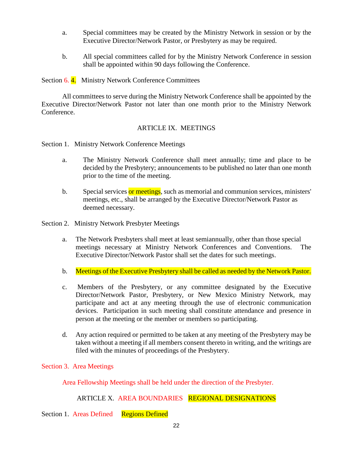- a. Special committees may be created by the Ministry Network in session or by the Executive Director/Network Pastor, or Presbytery as may be required.
- b. All special committees called for by the Ministry Network Conference in session shall be appointed within 90 days following the Conference.

Section 6. 4. Ministry Network Conference Committees

All committees to serve during the Ministry Network Conference shall be appointed by the Executive Director/Network Pastor not later than one month prior to the Ministry Network Conference.

#### ARTICLE IX. MEETINGS

Section 1. Ministry Network Conference Meetings

- a. The Ministry Network Conference shall meet annually; time and place to be decided by the Presbytery; announcements to be published no later than one month prior to the time of the meeting.
- b. Special services or meetings, such as memorial and communion services, ministers' meetings, etc., shall be arranged by the Executive Director/Network Pastor as deemed necessary.

Section 2. Ministry Network Presbyter Meetings

- a. The Network Presbyters shall meet at least semiannually, other than those special meetings necessary at Ministry Network Conferences and Conventions. The Executive Director/Network Pastor shall set the dates for such meetings.
- b. Meetings of the Executive Presbytery shall be called as needed by the Network Pastor.
- c. Members of the Presbytery, or any committee designated by the Executive Director/Network Pastor, Presbytery, or New Mexico Ministry Network, may participate and act at any meeting through the use of electronic communication devices. Participation in such meeting shall constitute attendance and presence in person at the meeting or the member or members so participating.
- d. Any action required or permitted to be taken at any meeting of the Presbytery may be taken without a meeting if all members consent thereto in writing, and the writings are filed with the minutes of proceedings of the Presbytery.

#### Section 3. Area Meetings

Area Fellowship Meetings shall be held under the direction of the Presbyter.

ARTICLE X. AREA BOUNDARIES REGIONAL DESIGNATIONS

Section 1. Areas Defined Regions Defined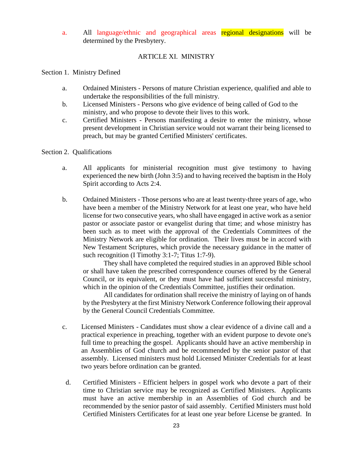a. All language/ethnic and geographical areas regional designations will be determined by the Presbytery.

## ARTICLE XI. MINISTRY

Section 1. Ministry Defined

- a. Ordained Ministers Persons of mature Christian experience, qualified and able to undertake the responsibilities of the full ministry.
- b. Licensed Ministers Persons who give evidence of being called of God to the ministry, and who propose to devote their lives to this work.
- c. Certified Ministers Persons manifesting a desire to enter the ministry, whose present development in Christian service would not warrant their being licensed to preach, but may be granted Certified Ministers' certificates.
- Section 2. Qualifications
	- a. All applicants for ministerial recognition must give testimony to having experienced the new birth (John 3:5) and to having received the baptism in the Holy Spirit according to Acts 2:4.
	- b. Ordained Ministers Those persons who are at least twenty-three years of age, who have been a member of the Ministry Network for at least one year, who have held license for two consecutive years, who shall have engaged in active work as a senior pastor or associate pastor or evangelist during that time; and whose ministry has been such as to meet with the approval of the Credentials Committees of the Ministry Network are eligible for ordination. Their lives must be in accord with New Testament Scriptures, which provide the necessary guidance in the matter of such recognition (I Timothy 3:1-7; Titus 1:7-9).

They shall have completed the required studies in an approved Bible school or shall have taken the prescribed correspondence courses offered by the General Council, or its equivalent, or they must have had sufficient successful ministry, which in the opinion of the Credentials Committee, justifies their ordination.

All candidates for ordination shall receive the ministry of laying on of hands by the Presbytery at the first Ministry Network Conference following their approval by the General Council Credentials Committee.

- c. Licensed Ministers Candidates must show a clear evidence of a divine call and a practical experience in preaching, together with an evident purpose to devote one's full time to preaching the gospel. Applicants should have an active membership in an Assemblies of God church and be recommended by the senior pastor of that assembly. Licensed ministers must hold Licensed Minister Credentials for at least two years before ordination can be granted.
- d. Certified Ministers Efficient helpers in gospel work who devote a part of their time to Christian service may be recognized as Certified Ministers. Applicants must have an active membership in an Assemblies of God church and be recommended by the senior pastor of said assembly. Certified Ministers must hold Certified Ministers Certificates for at least one year before License be granted. In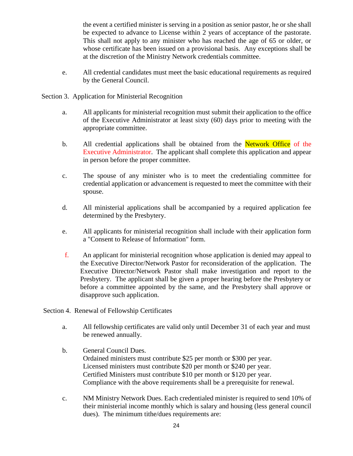the event a certified minister is serving in a position as senior pastor, he or she shall be expected to advance to License within 2 years of acceptance of the pastorate. This shall not apply to any minister who has reached the age of 65 or older, or whose certificate has been issued on a provisional basis. Any exceptions shall be at the discretion of the Ministry Network credentials committee.

- e. All credential candidates must meet the basic educational requirements as required by the General Council.
- Section 3. Application for Ministerial Recognition
	- a. All applicants for ministerial recognition must submit their application to the office of the Executive Administrator at least sixty (60) days prior to meeting with the appropriate committee.
	- b. All credential applications shall be obtained from the **Network Office** of the Executive Administrator. The applicant shall complete this application and appear in person before the proper committee.
	- c. The spouse of any minister who is to meet the credentialing committee for credential application or advancement is requested to meet the committee with their spouse.
	- d. All ministerial applications shall be accompanied by a required application fee determined by the Presbytery.
	- e. All applicants for ministerial recognition shall include with their application form a "Consent to Release of Information" form.
	- f. An applicant for ministerial recognition whose application is denied may appeal to the Executive Director/Network Pastor for reconsideration of the application. The Executive Director/Network Pastor shall make investigation and report to the Presbytery. The applicant shall be given a proper hearing before the Presbytery or before a committee appointed by the same, and the Presbytery shall approve or disapprove such application.
- Section 4. Renewal of Fellowship Certificates
	- a. All fellowship certificates are valid only until December 31 of each year and must be renewed annually.
	- b. General Council Dues. Ordained ministers must contribute \$25 per month or \$300 per year. Licensed ministers must contribute \$20 per month or \$240 per year. Certified Ministers must contribute \$10 per month or \$120 per year. Compliance with the above requirements shall be a prerequisite for renewal.
	- c. NM Ministry Network Dues. Each credentialed minister is required to send 10% of their ministerial income monthly which is salary and housing (less general council dues). The minimum tithe/dues requirements are: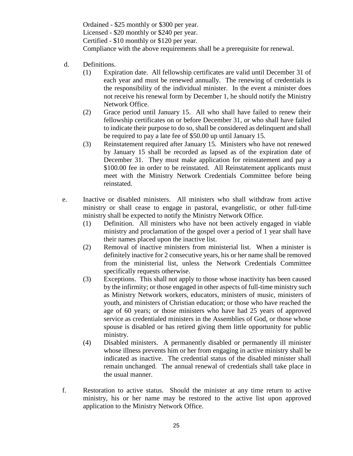Ordained - \$25 monthly or \$300 per year. Licensed - \$20 monthly or \$240 per year. Certified - \$10 monthly or \$120 per year. Compliance with the above requirements shall be a prerequisite for renewal.

- d. Definitions.
	- (1) Expiration date. All fellowship certificates are valid until December 31 of each year and must be renewed annually. The renewing of credentials is the responsibility of the individual minister. In the event a minister does not receive his renewal form by December 1, he should notify the Ministry Network Office.
	- (2) Grace period until January 15. All who shall have failed to renew their fellowship certificates on or before December 31, or who shall have failed to indicate their purpose to do so, shall be considered as delinquent and shall be required to pay a late fee of \$50.00 up until January 15.
	- (3) Reinstatement required after January 15. Ministers who have not renewed by January 15 shall be recorded as lapsed as of the expiration date of December 31. They must make application for reinstatement and pay a \$100.00 fee in order to be reinstated. All Reinstatement applicants must meet with the Ministry Network Credentials Committee before being reinstated.
- e. Inactive or disabled ministers. All ministers who shall withdraw from active ministry or shall cease to engage in pastoral, evangelistic, or other full-time ministry shall be expected to notify the Ministry Network Office.
	- (1) Definition. All ministers who have not been actively engaged in viable ministry and proclamation of the gospel over a period of 1 year shall have their names placed upon the inactive list.
	- (2) Removal of inactive ministers from ministerial list. When a minister is definitely inactive for 2 consecutive years, his or her name shall be removed from the ministerial list, unless the Network Credentials Committee specifically requests otherwise.
	- (3) Exceptions. This shall not apply to those whose inactivity has been caused by the infirmity; or those engaged in other aspects of full-time ministry such as Ministry Network workers, educators, ministers of music, ministers of youth, and ministers of Christian education; or those who have reached the age of 60 years; or those ministers who have had 25 years of approved service as credentialed ministers in the Assemblies of God, or those whose spouse is disabled or has retired giving them little opportunity for public ministry.
	- (4) Disabled ministers. A permanently disabled or permanently ill minister whose illness prevents him or her from engaging in active ministry shall be indicated as inactive. The credential status of the disabled minister shall remain unchanged. The annual renewal of credentials shall take place in the usual manner.
- f. Restoration to active status. Should the minister at any time return to active ministry, his or her name may be restored to the active list upon approved application to the Ministry Network Office.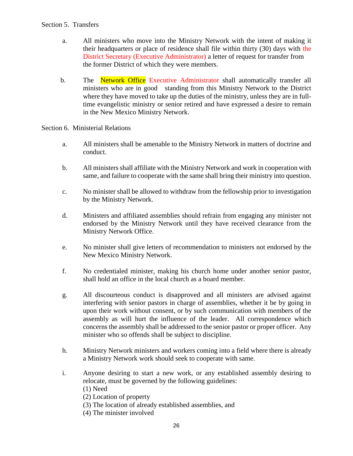#### Section 5. Transfers

- a. All ministers who move into the Ministry Network with the intent of making it their headquarters or place of residence shall file within thirty (30) days with the District Secretary (Executive Administrator) a letter of request for transfer from the former District of which they were members.
- b. The Network Office Executive Administrator shall automatically transfer all ministers who are in good standing from this Ministry Network to the District where they have moved to take up the duties of the ministry, unless they are in fulltime evangelistic ministry or senior retired and have expressed a desire to remain in the New Mexico Ministry Network.

Section 6. Ministerial Relations

- a. All ministers shall be amenable to the Ministry Network in matters of doctrine and conduct.
- b. All ministers shall affiliate with the Ministry Network and work in cooperation with same, and failure to cooperate with the same shall bring their ministry into question.
- c. No minister shall be allowed to withdraw from the fellowship prior to investigation by the Ministry Network.
- d. Ministers and affiliated assemblies should refrain from engaging any minister not endorsed by the Ministry Network until they have received clearance from the Ministry Network Office.
- e. No minister shall give letters of recommendation to ministers not endorsed by the New Mexico Ministry Network.
- f. No credentialed minister, making his church home under another senior pastor, shall hold an office in the local church as a board member.
- g. All discourteous conduct is disapproved and all ministers are advised against interfering with senior pastors in charge of assemblies, whether it be by going in upon their work without consent, or by such communication with members of the assembly as will hurt the influence of the leader. All correspondence which concerns the assembly shall be addressed to the senior pastor or proper officer. Any minister who so offends shall be subject to discipline.
- h. Ministry Network ministers and workers coming into a field where there is already a Ministry Network work should seek to cooperate with same.
- i. Anyone desiring to start a new work, or any established assembly desiring to relocate, must be governed by the following guidelines:

(1) Need

- (2) Location of property
- (3) The location of already established assemblies, and
- (4) The minister involved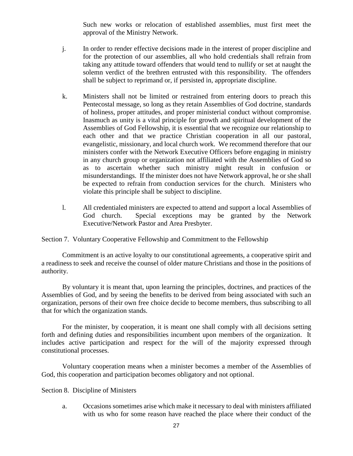Such new works or relocation of established assemblies, must first meet the approval of the Ministry Network.

- j. In order to render effective decisions made in the interest of proper discipline and for the protection of our assemblies, all who hold credentials shall refrain from taking any attitude toward offenders that would tend to nullify or set at naught the solemn verdict of the brethren entrusted with this responsibility. The offenders shall be subject to reprimand or, if persisted in, appropriate discipline.
- k. Ministers shall not be limited or restrained from entering doors to preach this Pentecostal message, so long as they retain Assemblies of God doctrine, standards of holiness, proper attitudes, and proper ministerial conduct without compromise. Inasmuch as unity is a vital principle for growth and spiritual development of the Assemblies of God Fellowship, it is essential that we recognize our relationship to each other and that we practice Christian cooperation in all our pastoral, evangelistic, missionary, and local church work. We recommend therefore that our ministers confer with the Network Executive Officers before engaging in ministry in any church group or organization not affiliated with the Assemblies of God so as to ascertain whether such ministry might result in confusion or misunderstandings. If the minister does not have Network approval, he or she shall be expected to refrain from conduction services for the church. Ministers who violate this principle shall be subject to discipline.
- l. All credentialed ministers are expected to attend and support a local Assemblies of God church. Special exceptions may be granted by the Network Executive/Network Pastor and Area Presbyter.

Section 7. Voluntary Cooperative Fellowship and Commitment to the Fellowship

Commitment is an active loyalty to our constitutional agreements, a cooperative spirit and a readiness to seek and receive the counsel of older mature Christians and those in the positions of authority.

By voluntary it is meant that, upon learning the principles, doctrines, and practices of the Assemblies of God, and by seeing the benefits to be derived from being associated with such an organization, persons of their own free choice decide to become members, thus subscribing to all that for which the organization stands.

For the minister, by cooperation, it is meant one shall comply with all decisions setting forth and defining duties and responsibilities incumbent upon members of the organization. It includes active participation and respect for the will of the majority expressed through constitutional processes.

Voluntary cooperation means when a minister becomes a member of the Assemblies of God, this cooperation and participation becomes obligatory and not optional.

Section 8. Discipline of Ministers

a. Occasions sometimes arise which make it necessary to deal with ministers affiliated with us who for some reason have reached the place where their conduct of the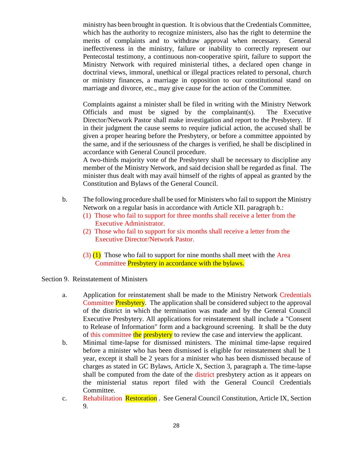ministry has been brought in question. It is obvious that the Credentials Committee, which has the authority to recognize ministers, also has the right to determine the merits of complaints and to withdraw approval when necessary. General ineffectiveness in the ministry, failure or inability to correctly represent our Pentecostal testimony, a continuous non-cooperative spirit, failure to support the Ministry Network with required ministerial tithes, a declared open change in doctrinal views, immoral, unethical or illegal practices related to personal, church or ministry finances, a marriage in opposition to our constitutional stand on marriage and divorce, etc., may give cause for the action of the Committee.

Complaints against a minister shall be filed in writing with the Ministry Network Officials and must be signed by the complainant(s). The Executive Director/Network Pastor shall make investigation and report to the Presbytery. If in their judgment the cause seems to require judicial action, the accused shall be given a proper hearing before the Presbytery, or before a committee appointed by the same, and if the seriousness of the charges is verified, he shall be disciplined in accordance with General Council procedure.

A two-thirds majority vote of the Presbytery shall be necessary to discipline any member of the Ministry Network, and said decision shall be regarded as final. The minister thus dealt with may avail himself of the rights of appeal as granted by the Constitution and Bylaws of the General Council.

- b. The following procedure shall be used for Ministers who fail to support the Ministry Network on a regular basis in accordance with Article XII. paragraph b.:
	- (1) Those who fail to support for three months shall receive a letter from the Executive Administrator.
	- (2) Those who fail to support for six months shall receive a letter from the Executive Director/Network Pastor.
	- (3)  $(1)$  Those who fail to support for nine months shall meet with the Area Committee Presbytery in accordance with the bylaws.

Section 9. Reinstatement of Ministers

- a. Application for reinstatement shall be made to the Ministry Network Credentials Committee Presbytery. The application shall be considered subject to the approval of the district in which the termination was made and by the General Council Executive Presbytery. All applications for reinstatement shall include a "Consent to Release of Information" form and a background screening. It shall be the duty of this committee the presbytery to review the case and interview the applicant.
- b. Minimal time-lapse for dismissed ministers. The minimal time-lapse required before a minister who has been dismissed is eligible for reinstatement shall be 1 year, except it shall be 2 years for a minister who has been dismissed because of charges as stated in GC Bylaws, Article X, Section 3, paragraph a. The time-lapse shall be computed from the date of the district presbytery action as it appears on the ministerial status report filed with the General Council Credentials Committee.
- c. Rehabilitation Restoration . See General Council Constitution, Article IX, Section 9.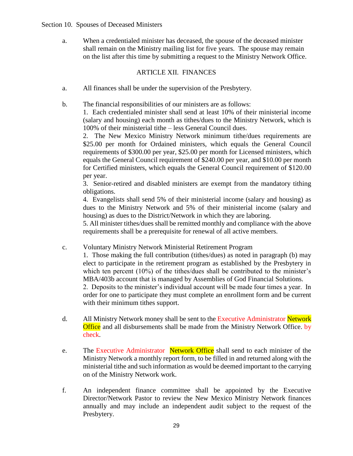#### Section 10. Spouses of Deceased Ministers

a. When a credentialed minister has deceased, the spouse of the deceased minister shall remain on the Ministry mailing list for five years. The spouse may remain on the list after this time by submitting a request to the Ministry Network Office.

#### ARTICLE XII. FINANCES

a. All finances shall be under the supervision of the Presbytery.

b. The financial responsibilities of our ministers are as follows:

 1. Each credentialed minister shall send at least 10% of their ministerial income (salary and housing) each month as tithes/dues to the Ministry Network, which is 100% of their ministerial tithe – less General Council dues.

2. The New Mexico Ministry Network minimum tithe/dues requirements are \$25.00 per month for Ordained ministers, which equals the General Council requirements of \$300.00 per year, \$25.00 per month for Licensed ministers, which equals the General Council requirement of \$240.00 per year, and \$10.00 per month for Certified ministers, which equals the General Council requirement of \$120.00 per year.

3. Senior-retired and disabled ministers are exempt from the mandatory tithing obligations.

4. Evangelists shall send 5% of their ministerial income (salary and housing) as dues to the Ministry Network and 5% of their ministerial income (salary and housing) as dues to the District/Network in which they are laboring.

5. All minister tithes/dues shall be remitted monthly and compliance with the above requirements shall be a prerequisite for renewal of all active members.

c. Voluntary Ministry Network Ministerial Retirement Program

1. Those making the full contribution (tithes/dues) as noted in paragraph (b) may elect to participate in the retirement program as established by the Presbytery in which ten percent (10%) of the tithes/dues shall be contributed to the minister's MBA/403b account that is managed by Assemblies of God Financial Solutions.

2. Deposits to the minister's individual account will be made four times a year. In order for one to participate they must complete an enrollment form and be current with their minimum tithes support.

- d. All Ministry Network money shall be sent to the Executive Administrator Network Office and all disbursements shall be made from the Ministry Network Office. by check.
- e. The Executive Administrator Network Office shall send to each minister of the Ministry Network a monthly report form, to be filled in and returned along with the ministerial tithe and such information as would be deemed important to the carrying on of the Ministry Network work.
- f. An independent finance committee shall be appointed by the Executive Director/Network Pastor to review the New Mexico Ministry Network finances annually and may include an independent audit subject to the request of the Presbytery.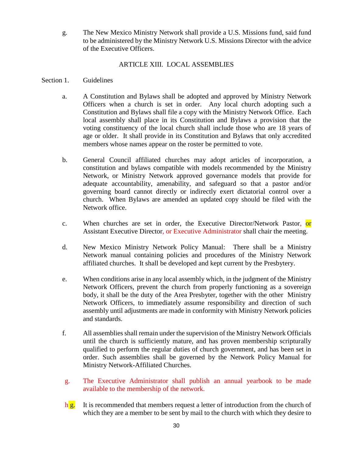g. The New Mexico Ministry Network shall provide a U.S. Missions fund, said fund to be administered by the Ministry Network U.S. Missions Director with the advice of the Executive Officers.

## ARTICLE XIII. LOCAL ASSEMBLIES

- Section 1. Guidelines
	- a. A Constitution and Bylaws shall be adopted and approved by Ministry Network Officers when a church is set in order. Any local church adopting such a Constitution and Bylaws shall file a copy with the Ministry Network Office. Each local assembly shall place in its Constitution and Bylaws a provision that the voting constituency of the local church shall include those who are 18 years of age or older. It shall provide in its Constitution and Bylaws that only accredited members whose names appear on the roster be permitted to vote.
	- b. General Council affiliated churches may adopt articles of incorporation, a constitution and bylaws compatible with models recommended by the Ministry Network, or Ministry Network approved governance models that provide for adequate accountability, amenability, and safeguard so that a pastor and/or governing board cannot directly or indirectly exert dictatorial control over a church. When Bylaws are amended an updated copy should be filed with the Network office.
	- c. When churches are set in order, the Executive Director/Network Pastor, or Assistant Executive Director, or Executive Administrator shall chair the meeting.
	- d. New Mexico Ministry Network Policy Manual: There shall be a Ministry Network manual containing policies and procedures of the Ministry Network affiliated churches. It shall be developed and kept current by the Presbytery.
	- e. When conditions arise in any local assembly which, in the judgment of the Ministry Network Officers, prevent the church from properly functioning as a sovereign body, it shall be the duty of the Area Presbyter, together with the other Ministry Network Officers, to immediately assume responsibility and direction of such assembly until adjustments are made in conformity with Ministry Network policies and standards.
	- f. All assemblies shall remain under the supervision of the Ministry Network Officials until the church is sufficiently mature, and has proven membership scripturally qualified to perform the regular duties of church government, and has been set in order. Such assemblies shall be governed by the Network Policy Manual for Ministry Network-Affiliated Churches.
	- g. The Executive Administrator shall publish an annual yearbook to be made available to the membership of the network.
	- $h \, g$ . It is recommended that members request a letter of introduction from the church of which they are a member to be sent by mail to the church with which they desire to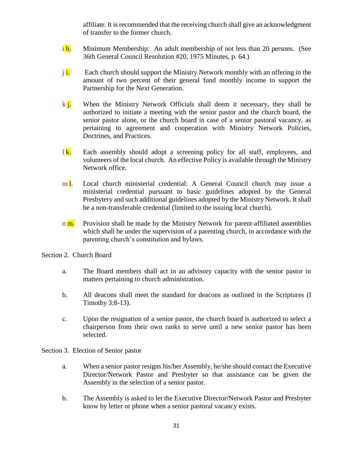affiliate. It is recommended that the receiving church shall give an acknowledgment of transfer to the former church.

- $i<sub>h</sub>$ . Minimum Membership: An adult membership of not less than 20 persons. (See 36th General Council Resolution #20, 1975 Minutes, p. 64.)
- j i. Each church should support the Ministry Network monthly with an offering in the amount of two percent of their general fund monthly income to support the Partnership for the Next Generation.
- $k \, \mathbf{j}$ . When the Ministry Network Officials shall deem it necessary, they shall be authorized to initiate a meeting with the senior pastor and the church board, the senior pastor alone, or the church board in case of a senior pastoral vacancy, as pertaining to agreement and cooperation with Ministry Network Policies, Doctrines, and Practices.
- 1k. Each assembly should adopt a screening policy for all staff, employees, and volunteers of the local church. An effective Policy is available through the Ministry Network office.
- m <sup>1</sup>. Local church ministerial credential: A General Council church may issue a ministerial credential pursuant to basic guidelines adopted by the General Presbytery and such additional guidelines adopted by the Ministry Network. It shall be a non-transferable credential (limited to the issuing local church).
- n m. Provision shall be made by the Ministry Network for parent-affiliated assemblies which shall be under the supervision of a parenting church, in accordance with the parenting church's constitution and bylaws.
- Section 2. Church Board
	- a. The Board members shall act in an advisory capacity with the senior pastor in matters pertaining to church administration.
	- b. All deacons shall meet the standard for deacons as outlined in the Scriptures (I Timothy 3:8-13).
	- c. Upon the resignation of a senior pastor, the church board is authorized to select a chairperson from their own ranks to serve until a new senior pastor has been selected.

Section 3. Election of Senior pastor

- a. When a senior pastor resigns his/her Assembly, he/she should contact the Executive Director/Network Pastor and Presbyter so that assistance can be given the Assembly in the selection of a senior pastor.
- b. The Assembly is asked to let the Executive Director/Network Pastor and Presbyter know by letter or phone when a senior pastoral vacancy exists.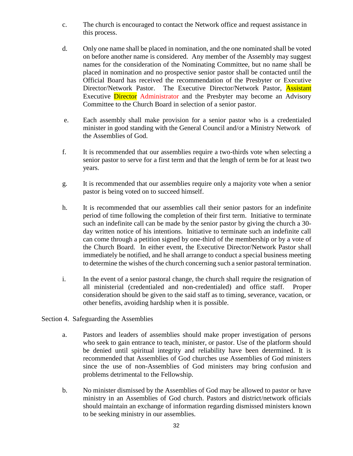- c. The church is encouraged to contact the Network office and request assistance in this process.
- d. Only one name shall be placed in nomination, and the one nominated shall be voted on before another name is considered. Any member of the Assembly may suggest names for the consideration of the Nominating Committee, but no name shall be placed in nomination and no prospective senior pastor shall be contacted until the Official Board has received the recommendation of the Presbyter or Executive Director/Network Pastor. The Executive Director/Network Pastor, Assistant Executive Director Administrator and the Presbyter may become an Advisory Committee to the Church Board in selection of a senior pastor.
- e. Each assembly shall make provision for a senior pastor who is a credentialed minister in good standing with the General Council and/or a Ministry Network of the Assemblies of God.
- f. It is recommended that our assemblies require a two-thirds vote when selecting a senior pastor to serve for a first term and that the length of term be for at least two years.
- g. It is recommended that our assemblies require only a majority vote when a senior pastor is being voted on to succeed himself.
- h. It is recommended that our assemblies call their senior pastors for an indefinite period of time following the completion of their first term. Initiative to terminate such an indefinite call can be made by the senior pastor by giving the church a 30 day written notice of his intentions. Initiative to terminate such an indefinite call can come through a petition signed by one-third of the membership or by a vote of the Church Board. In either event, the Executive Director/Network Pastor shall immediately be notified, and he shall arrange to conduct a special business meeting to determine the wishes of the church concerning such a senior pastoral termination.
- i. In the event of a senior pastoral change, the church shall require the resignation of all ministerial (credentialed and non-credentialed) and office staff. Proper consideration should be given to the said staff as to timing, severance, vacation, or other benefits, avoiding hardship when it is possible.
- Section 4. Safeguarding the Assemblies
	- a. Pastors and leaders of assemblies should make proper investigation of persons who seek to gain entrance to teach, minister, or pastor. Use of the platform should be denied until spiritual integrity and reliability have been determined. It is recommended that Assemblies of God churches use Assemblies of God ministers since the use of non-Assemblies of God ministers may bring confusion and problems detrimental to the Fellowship.
	- b. No minister dismissed by the Assemblies of God may be allowed to pastor or have ministry in an Assemblies of God church. Pastors and district/network officials should maintain an exchange of information regarding dismissed ministers known to be seeking ministry in our assemblies.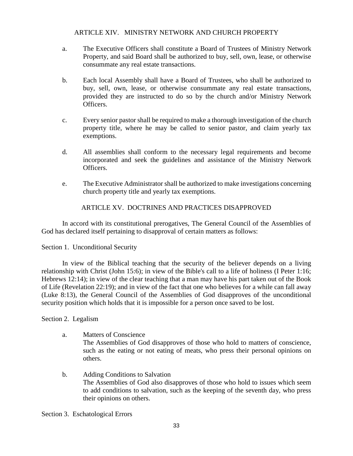#### ARTICLE XIV. MINISTRY NETWORK AND CHURCH PROPERTY

- a. The Executive Officers shall constitute a Board of Trustees of Ministry Network Property, and said Board shall be authorized to buy, sell, own, lease, or otherwise consummate any real estate transactions.
- b. Each local Assembly shall have a Board of Trustees, who shall be authorized to buy, sell, own, lease, or otherwise consummate any real estate transactions, provided they are instructed to do so by the church and/or Ministry Network Officers.
- c. Every senior pastor shall be required to make a thorough investigation of the church property title, where he may be called to senior pastor, and claim yearly tax exemptions.
- d. All assemblies shall conform to the necessary legal requirements and become incorporated and seek the guidelines and assistance of the Ministry Network Officers.
- e. The Executive Administrator shall be authorized to make investigations concerning church property title and yearly tax exemptions.

ARTICLE XV. DOCTRINES AND PRACTICES DISAPPROVED

In accord with its constitutional prerogatives, The General Council of the Assemblies of God has declared itself pertaining to disapproval of certain matters as follows:

#### Section 1. Unconditional Security

In view of the Biblical teaching that the security of the believer depends on a living relationship with Christ (John 15:6); in view of the Bible's call to a life of holiness (I Peter 1:16; Hebrews 12:14); in view of the clear teaching that a man may have his part taken out of the Book of Life (Revelation 22:19); and in view of the fact that one who believes for a while can fall away (Luke 8:13), the General Council of the Assemblies of God disapproves of the unconditional security position which holds that it is impossible for a person once saved to be lost.

#### Section 2. Legalism

a. Matters of Conscience

The Assemblies of God disapproves of those who hold to matters of conscience, such as the eating or not eating of meats, who press their personal opinions on others.

b. Adding Conditions to Salvation The Assemblies of God also disapproves of those who hold to issues which seem to add conditions to salvation, such as the keeping of the seventh day, who press their opinions on others.

Section 3. Eschatological Errors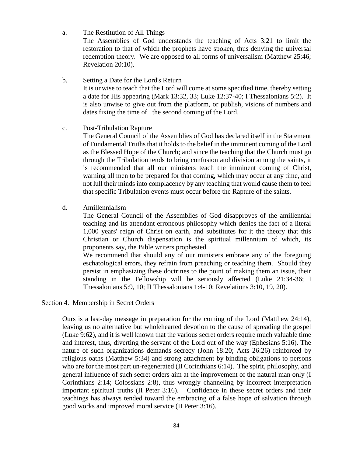a. The Restitution of All Things

The Assemblies of God understands the teaching of Acts 3:21 to limit the restoration to that of which the prophets have spoken, thus denying the universal redemption theory. We are opposed to all forms of universalism (Matthew 25:46; Revelation 20:10).

b. Setting a Date for the Lord's Return It is unwise to teach that the Lord will come at some specified time, thereby setting a date for His appearing (Mark 13:32, 33; Luke 12:37-40; I Thessalonians 5:2). It is also unwise to give out from the platform, or publish, visions of numbers and dates fixing the time of the second coming of the Lord.

#### c. Post-Tribulation Rapture

The General Council of the Assemblies of God has declared itself in the Statement of Fundamental Truths that it holds to the belief in the imminent coming of the Lord as the Blessed Hope of the Church; and since the teaching that the Church must go through the Tribulation tends to bring confusion and division among the saints, it is recommended that all our ministers teach the imminent coming of Christ, warning all men to be prepared for that coming, which may occur at any time, and not lull their minds into complacency by any teaching that would cause them to feel that specific Tribulation events must occur before the Rapture of the saints.

d. Amillennialism

The General Council of the Assemblies of God disapproves of the amillennial teaching and its attendant erroneous philosophy which denies the fact of a literal 1,000 years' reign of Christ on earth, and substitutes for it the theory that this Christian or Church dispensation is the spiritual millennium of which, its proponents say, the Bible writers prophesied.

We recommend that should any of our ministers embrace any of the foregoing eschatological errors, they refrain from preaching or teaching them. Should they persist in emphasizing these doctrines to the point of making them an issue, their standing in the Fellowship will be seriously affected (Luke 21:34-36; I Thessalonians 5:9, 10; II Thessalonians 1:4-10; Revelations 3:10, 19, 20).

#### Section 4. Membership in Secret Orders

Ours is a last-day message in preparation for the coming of the Lord (Matthew 24:14), leaving us no alternative but wholehearted devotion to the cause of spreading the gospel (Luke 9:62), and it is well known that the various secret orders require much valuable time and interest, thus, diverting the servant of the Lord out of the way (Ephesians 5:16). The nature of such organizations demands secrecy (John 18:20; Acts 26:26) reinforced by religious oaths (Matthew 5:34) and strong attachment by binding obligations to persons who are for the most part un-regenerated (II Corinthians 6:14). The spirit, philosophy, and general influence of such secret orders aim at the improvement of the natural man only (I Corinthians 2:14; Colossians 2:8), thus wrongly channeling by incorrect interpretation important spiritual truths (II Peter 3:16). Confidence in these secret orders and their teachings has always tended toward the embracing of a false hope of salvation through good works and improved moral service (II Peter 3:16).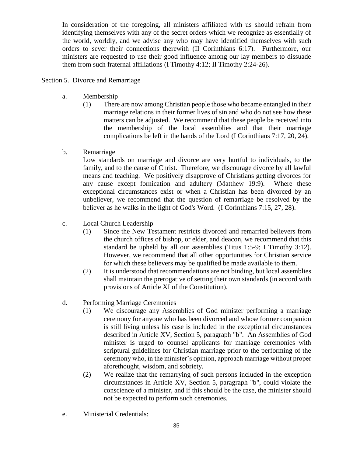In consideration of the foregoing, all ministers affiliated with us should refrain from identifying themselves with any of the secret orders which we recognize as essentially of the world, worldly, and we advise any who may have identified themselves with such orders to sever their connections therewith (II Corinthians 6:17). Furthermore, our ministers are requested to use their good influence among our lay members to dissuade them from such fraternal affiliations (I Timothy 4:12; II Timothy 2:24-26).

Section 5. Divorce and Remarriage

- a. Membership
	- (1) There are now among Christian people those who became entangled in their marriage relations in their former lives of sin and who do not see how these matters can be adjusted. We recommend that these people be received into the membership of the local assemblies and that their marriage complications be left in the hands of the Lord (I Corinthians 7:17, 20, 24).
- b. Remarriage

Low standards on marriage and divorce are very hurtful to individuals, to the family, and to the cause of Christ. Therefore, we discourage divorce by all lawful means and teaching. We positively disapprove of Christians getting divorces for any cause except fornication and adultery (Matthew 19:9). Where these exceptional circumstances exist or when a Christian has been divorced by an unbeliever, we recommend that the question of remarriage be resolved by the believer as he walks in the light of God's Word. (I Corinthians 7:15, 27, 28).

- c. Local Church Leadership
	- (1) Since the New Testament restricts divorced and remarried believers from the church offices of bishop, or elder, and deacon, we recommend that this standard be upheld by all our assemblies (Titus 1:5-9; I Timothy 3:12). However, we recommend that all other opportunities for Christian service for which these believers may be qualified be made available to them.
	- (2) It is understood that recommendations are not binding, but local assemblies shall maintain the prerogative of setting their own standards (in accord with provisions of Article XI of the Constitution).
- d. Performing Marriage Ceremonies
	- (1) We discourage any Assemblies of God minister performing a marriage ceremony for anyone who has been divorced and whose former companion is still living unless his case is included in the exceptional circumstances described in Article XV, Section 5, paragraph "b". An Assemblies of God minister is urged to counsel applicants for marriage ceremonies with scriptural guidelines for Christian marriage prior to the performing of the ceremony who, in the minister's opinion, approach marriage without proper aforethought, wisdom, and sobriety.
	- (2) We realize that the remarrying of such persons included in the exception circumstances in Article XV, Section 5, paragraph "b", could violate the conscience of a minister, and if this should be the case, the minister should not be expected to perform such ceremonies.
- e. Ministerial Credentials: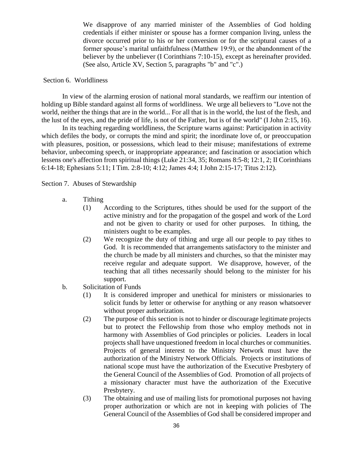We disapprove of any married minister of the Assemblies of God holding credentials if either minister or spouse has a former companion living, unless the divorce occurred prior to his or her conversion or for the scriptural causes of a former spouse's marital unfaithfulness (Matthew 19:9), or the abandonment of the believer by the unbeliever (I Corinthians 7:10-15), except as hereinafter provided. (See also, Article XV, Section 5, paragraphs "b" and "c".)

#### Section 6. Worldliness

In view of the alarming erosion of national moral standards, we reaffirm our intention of holding up Bible standard against all forms of worldliness. We urge all believers to "Love not the world, neither the things that are in the world... For all that is in the world, the lust of the flesh, and the lust of the eyes, and the pride of life, is not of the Father, but is of the world" (I John 2:15, 16).

In its teaching regarding worldliness, the Scripture warns against: Participation in activity which defiles the body, or corrupts the mind and spirit; the inordinate love of, or preoccupation with pleasures, position, or possessions, which lead to their misuse; manifestations of extreme behavior, unbecoming speech, or inappropriate appearance; and fascination or association which lessens one's affection from spiritual things (Luke 21:34, 35; Romans 8:5-8; 12:1, 2; II Corinthians 6:14-18; Ephesians 5:11; I Tim. 2:8-10; 4:12; James 4:4; I John 2:15-17; Titus 2:12).

Section 7. Abuses of Stewardship

- a. Tithing
	- (1) According to the Scriptures, tithes should be used for the support of the active ministry and for the propagation of the gospel and work of the Lord and not be given to charity or used for other purposes. In tithing, the ministers ought to be examples.
	- (2) We recognize the duty of tithing and urge all our people to pay tithes to God. It is recommended that arrangements satisfactory to the minister and the church be made by all ministers and churches, so that the minister may receive regular and adequate support. We disapprove, however, of the teaching that all tithes necessarily should belong to the minister for his support.
- b. Solicitation of Funds
	- (1) It is considered improper and unethical for ministers or missionaries to solicit funds by letter or otherwise for anything or any reason whatsoever without proper authorization.
	- (2) The purpose of this section is not to hinder or discourage legitimate projects but to protect the Fellowship from those who employ methods not in harmony with Assemblies of God principles or policies. Leaders in local projects shall have unquestioned freedom in local churches or communities. Projects of general interest to the Ministry Network must have the authorization of the Ministry Network Officials. Projects or institutions of national scope must have the authorization of the Executive Presbytery of the General Council of the Assemblies of God. Promotion of all projects of a missionary character must have the authorization of the Executive Presbytery.
	- (3) The obtaining and use of mailing lists for promotional purposes not having proper authorization or which are not in keeping with policies of The General Council of the Assemblies of God shall be considered improper and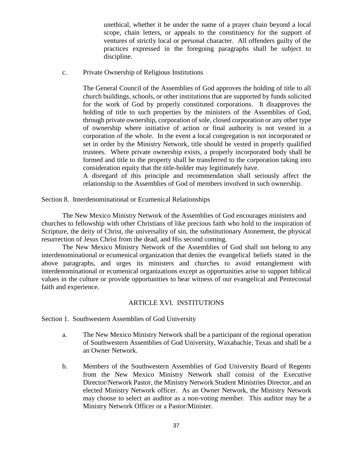unethical, whether it be under the name of a prayer chain beyond a local scope, chain letters, or appeals to the constituency for the support of ventures of strictly local or personal character. All offenders guilty of the practices expressed in the foregoing paragraphs shall be subject to discipline.

c. Private Ownership of Religious Institutions

The General Council of the Assemblies of God approves the holding of title to all church buildings, schools, or other institutions that are supported by funds solicited for the work of God by properly constituted corporations. It disapproves the holding of title to such properties by the ministers of the Assemblies of God, through private ownership, corporation of sole, closed corporation or any other type of ownership where initiative of action or final authority is not vested in a corporation of the whole. In the event a local congregation is not incorporated or set in order by the Ministry Network, title should be vested in properly qualified trustees. Where private ownership exists, a properly incorporated body shall be formed and title to the property shall be transferred to the corporation taking into consideration equity that the title-holder may legitimately have.

A disregard of this principle and recommendation shall seriously affect the relationship to the Assemblies of God of members involved in such ownership.

Section 8. Interdenominational or Ecumenical Relationships

The New Mexico Ministry Network of the Assemblies of God encourages ministers and churches to fellowship with other Christians of like precious faith who hold to the inspiration of Scripture, the deity of Christ, the universality of sin, the substitutionary Atonement, the physical resurrection of Jesus Christ from the dead, and His second coming.

The New Mexico Ministry Network of the Assemblies of God shall not belong to any interdenominational or ecumenical organization that denies the evangelical beliefs stated in the above paragraphs, and urges its ministers and churches to avoid entanglement with interdenominational or ecumenical organizations except as opportunities arise to support biblical values in the culture or provide opportunities to bear witness of our evangelical and Pentecostal faith and experience.

#### ARTICLE XVI. INSTITUTIONS

Section 1. Southwestern Assemblies of God University

- a. The New Mexico Ministry Network shall be a participant of the regional operation of Southwestern Assemblies of God University, Waxahachie, Texas and shall be a an Owner Network.
- b. Members of the Southwestern Assemblies of God University Board of Regents from the New Mexico Ministry Network shall consist of the Executive Director/Network Pastor, the Ministry Network Student Ministries Director, and an elected Ministry Network officer. As an Owner Network, the Ministry Network may choose to select an auditor as a non-voting member. This auditor may be a Ministry Network Officer or a Pastor/Minister.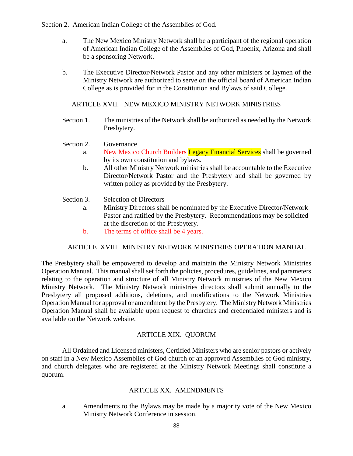Section 2. American Indian College of the Assemblies of God.

- a. The New Mexico Ministry Network shall be a participant of the regional operation of American Indian College of the Assemblies of God, Phoenix, Arizona and shall be a sponsoring Network.
- b. The Executive Director/Network Pastor and any other ministers or laymen of the Ministry Network are authorized to serve on the official board of American Indian College as is provided for in the Constitution and Bylaws of said College.

## ARTICLE XVII. NEW MEXICO MINISTRY NETWORK MINISTRIES

- Section 1. The ministries of the Network shall be authorized as needed by the Network Presbytery.
- Section 2. Governance
	- a. New Mexico Church Builders Legacy Financial Services shall be governed by its own constitution and bylaws.
	- b. All other Ministry Network ministries shall be accountable to the Executive Director/Network Pastor and the Presbytery and shall be governed by written policy as provided by the Presbytery.
- Section 3. Selection of Directors
	- a. Ministry Directors shall be nominated by the Executive Director/Network Pastor and ratified by the Presbytery. Recommendations may be solicited at the discretion of the Presbytery.
	- b. The terms of office shall be 4 years.

#### ARTICLE XVIII. MINISTRY NETWORK MINISTRIES OPERATION MANUAL

The Presbytery shall be empowered to develop and maintain the Ministry Network Ministries Operation Manual. This manual shall set forth the policies, procedures, guidelines, and parameters relating to the operation and structure of all Ministry Network ministries of the New Mexico Ministry Network. The Ministry Network ministries directors shall submit annually to the Presbytery all proposed additions, deletions, and modifications to the Network Ministries Operation Manual for approval or amendment by the Presbytery. The Ministry Network Ministries Operation Manual shall be available upon request to churches and credentialed ministers and is available on the Network website.

#### ARTICLE XIX. QUORUM

All Ordained and Licensed ministers, Certified Ministers who are senior pastors or actively on staff in a New Mexico Assemblies of God church or an approved Assemblies of God ministry, and church delegates who are registered at the Ministry Network Meetings shall constitute a quorum.

## ARTICLE XX. AMENDMENTS

a. Amendments to the Bylaws may be made by a majority vote of the New Mexico Ministry Network Conference in session.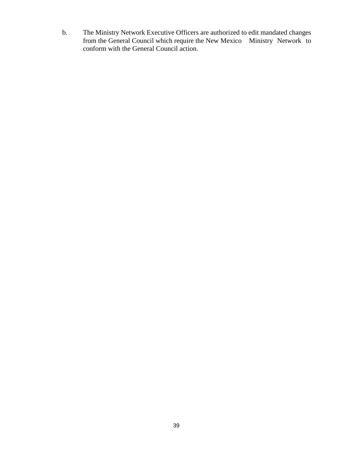b. The Ministry Network Executive Officers are authorized to edit mandated changes from the General Council which require the New Mexico Ministry Network to conform with the General Council action.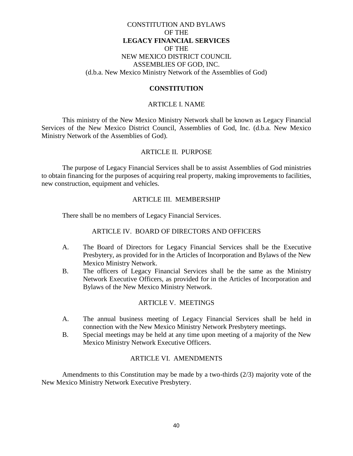## CONSTITUTION AND BYLAWS OF THE **LEGACY FINANCIAL SERVICES** OF THE NEW MEXICO DISTRICT COUNCIL ASSEMBLIES OF GOD, INC. (d.b.a. New Mexico Ministry Network of the Assemblies of God)

#### **CONSTITUTION**

#### ARTICLE I. NAME

This ministry of the New Mexico Ministry Network shall be known as Legacy Financial Services of the New Mexico District Council, Assemblies of God, Inc. (d.b.a. New Mexico Ministry Network of the Assemblies of God).

#### ARTICLE II. PURPOSE

The purpose of Legacy Financial Services shall be to assist Assemblies of God ministries to obtain financing for the purposes of acquiring real property, making improvements to facilities, new construction, equipment and vehicles.

## ARTICLE III. MEMBERSHIP

There shall be no members of Legacy Financial Services.

#### ARTICLE IV. BOARD OF DIRECTORS AND OFFICERS

- A. The Board of Directors for Legacy Financial Services shall be the Executive Presbytery, as provided for in the Articles of Incorporation and Bylaws of the New Mexico Ministry Network.
- B. The officers of Legacy Financial Services shall be the same as the Ministry Network Executive Officers, as provided for in the Articles of Incorporation and Bylaws of the New Mexico Ministry Network.

#### ARTICLE V. MEETINGS

- A. The annual business meeting of Legacy Financial Services shall be held in connection with the New Mexico Ministry Network Presbytery meetings.
- B. Special meetings may be held at any time upon meeting of a majority of the New Mexico Ministry Network Executive Officers.

#### ARTICLE VI. AMENDMENTS

Amendments to this Constitution may be made by a two-thirds (2/3) majority vote of the New Mexico Ministry Network Executive Presbytery.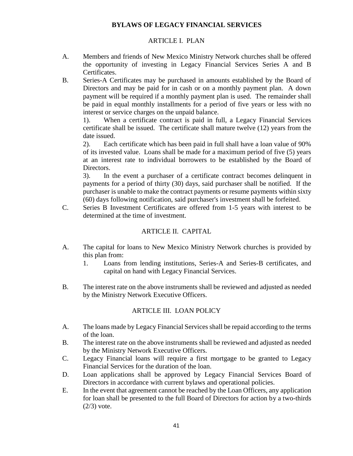## **BYLAWS OF LEGACY FINANCIAL SERVICES**

#### ARTICLE I. PLAN

- A. Members and friends of New Mexico Ministry Network churches shall be offered the opportunity of investing in Legacy Financial Services Series A and B Certificates.
- B. Series-A Certificates may be purchased in amounts established by the Board of Directors and may be paid for in cash or on a monthly payment plan. A down payment will be required if a monthly payment plan is used. The remainder shall be paid in equal monthly installments for a period of five years or less with no interest or service charges on the unpaid balance.

1). When a certificate contract is paid in full, a Legacy Financial Services certificate shall be issued. The certificate shall mature twelve (12) years from the date issued.

2). Each certificate which has been paid in full shall have a loan value of 90% of its invested value. Loans shall be made for a maximum period of five (5) years at an interest rate to individual borrowers to be established by the Board of Directors.

3). In the event a purchaser of a certificate contract becomes delinquent in payments for a period of thirty (30) days, said purchaser shall be notified. If the purchaser is unable to make the contract payments or resume payments within sixty (60) days following notification, said purchaser's investment shall be forfeited.

C. Series B Investment Certificates are offered from 1-5 years with interest to be determined at the time of investment.

## ARTICLE II. CAPITAL

- A. The capital for loans to New Mexico Ministry Network churches is provided by this plan from:
	- 1. Loans from lending institutions, Series-A and Series-B certificates, and capital on hand with Legacy Financial Services.
- B. The interest rate on the above instruments shall be reviewed and adjusted as needed by the Ministry Network Executive Officers.

## ARTICLE III. LOAN POLICY

- A. The loans made by Legacy Financial Services shall be repaid according to the terms of the loan.
- B. The interest rate on the above instruments shall be reviewed and adjusted as needed by the Ministry Network Executive Officers.
- C. Legacy Financial loans will require a first mortgage to be granted to Legacy Financial Services for the duration of the loan.
- D. Loan applications shall be approved by Legacy Financial Services Board of Directors in accordance with current bylaws and operational policies.
- E. In the event that agreement cannot be reached by the Loan Officers, any application for loan shall be presented to the full Board of Directors for action by a two-thirds (2/3) vote.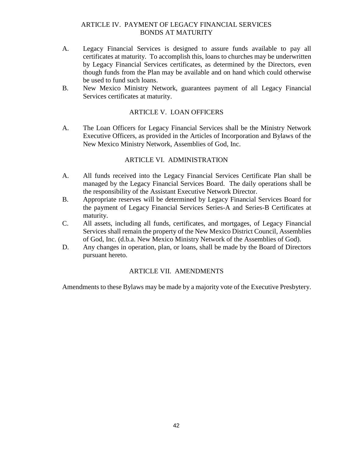## ARTICLE IV. PAYMENT OF LEGACY FINANCIAL SERVICES BONDS AT MATURITY

- A. Legacy Financial Services is designed to assure funds available to pay all certificates at maturity. To accomplish this, loans to churches may be underwritten by Legacy Financial Services certificates, as determined by the Directors, even though funds from the Plan may be available and on hand which could otherwise be used to fund such loans.
- B. New Mexico Ministry Network, guarantees payment of all Legacy Financial Services certificates at maturity.

## ARTICLE V. LOAN OFFICERS

A. The Loan Officers for Legacy Financial Services shall be the Ministry Network Executive Officers, as provided in the Articles of Incorporation and Bylaws of the New Mexico Ministry Network, Assemblies of God, Inc.

## ARTICLE VI. ADMINISTRATION

- A. All funds received into the Legacy Financial Services Certificate Plan shall be managed by the Legacy Financial Services Board. The daily operations shall be the responsibility of the Assistant Executive Network Director.
- B. Appropriate reserves will be determined by Legacy Financial Services Board for the payment of Legacy Financial Services Series-A and Series-B Certificates at maturity.
- C. All assets, including all funds, certificates, and mortgages, of Legacy Financial Services shall remain the property of the New Mexico District Council, Assemblies of God, Inc. (d.b.a. New Mexico Ministry Network of the Assemblies of God).
- D. Any changes in operation, plan, or loans, shall be made by the Board of Directors pursuant hereto.

#### ARTICLE VII. AMENDMENTS

Amendments to these Bylaws may be made by a majority vote of the Executive Presbytery.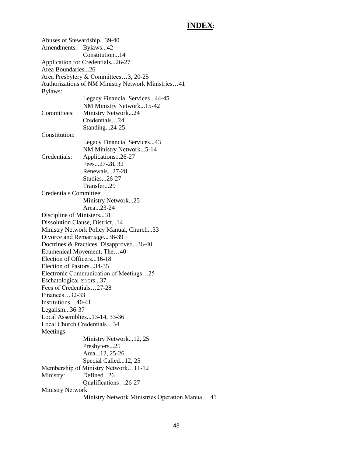## **INDEX**:

Abuses of Stewardship...39-40 Amendments: Bylaws...42 Constitution...14 Application for Credentials...26-27 Area Boundaries...26 Area Presbytery & Committees…3, 20-25 Authorizations of NM Ministry Network Ministries…41 Bylaws: Legacy Financial Services...44-45 NM Ministry Network...15-42 Committees: Ministry Network...24 Credentials…24 Standing...24-25 Constitution: Legacy Financial Services...43 NM Ministry Network...5-14 Credentials: Applications...26-27 Fees...27-28, 32 Renewals...27-28 Studies...26-27 Transfer...29 Credentials Committee: Ministry Network...25 Area...23-24 Discipline of Ministers...31 Dissolution Clause, District...14 Ministry Network Policy Manual, Church...33 Divorce and Remarriage...38-39 Doctrines & Practices, Disapproved...36-40 Ecumenical Movement, The…40 Election of Officers...16-18 Election of Pastors...34-35 Electronic Communication of Meetings…25 Eschatological errors...37 Fees of Credentials…27-28 Finances…32-33 Institutions…40-41 Legalism...36-37 Local Assemblies...13-14, 33-36 Local Church Credentials…34 Meetings: Ministry Network...12, 25 Presbyters...25 Area...12, 25-26 Special Called...12, 25 Membership of Ministry Network…11-12 Ministry: Defined...26 Qualifications…26-27 Ministry Network Ministry Network Ministries Operation Manual…41